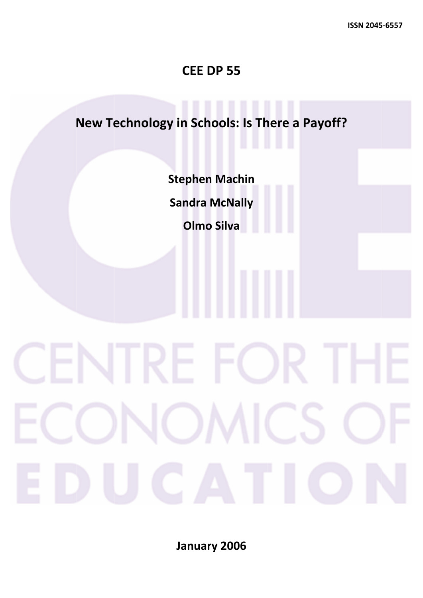### **CE EE DP 5 55**

# **New Technol ogy in School s: Is Th here a Payoff? Step phen Ma achin Sandra McNally Olmo Silva**

**Jan nuary 20 006**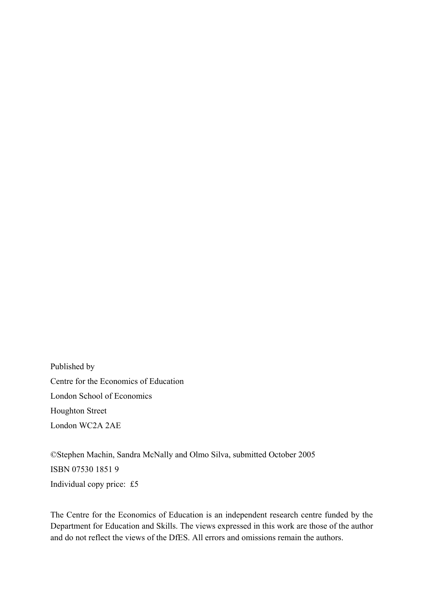Published by Centre for the Economics of Education London School of Economics Houghton Street London WC2A 2AE

©Stephen Machin, Sandra McNally and Olmo Silva, submitted October 2005 ISBN 07530 1851 9 Individual copy price: £5

The Centre for the Economics of Education is an independent research centre funded by the Department for Education and Skills. The views expressed in this work are those of the author and do not reflect the views of the DfES. All errors and omissions remain the authors.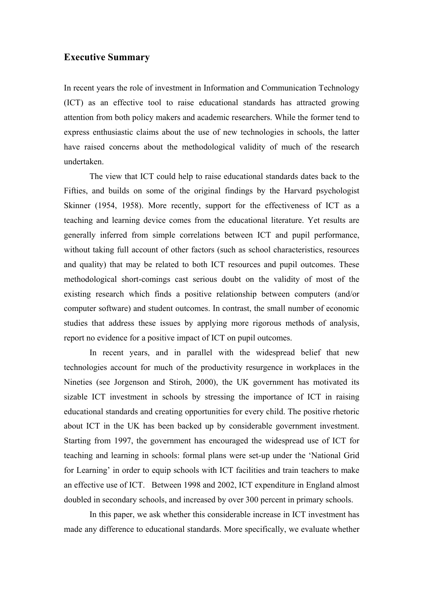#### **Executive Summary**

In recent years the role of investment in Information and Communication Technology (ICT) as an effective tool to raise educational standards has attracted growing attention from both policy makers and academic researchers. While the former tend to express enthusiastic claims about the use of new technologies in schools, the latter have raised concerns about the methodological validity of much of the research undertaken.

The view that ICT could help to raise educational standards dates back to the Fifties, and builds on some of the original findings by the Harvard psychologist Skinner (1954, 1958). More recently, support for the effectiveness of ICT as a teaching and learning device comes from the educational literature. Yet results are generally inferred from simple correlations between ICT and pupil performance, without taking full account of other factors (such as school characteristics, resources and quality) that may be related to both ICT resources and pupil outcomes. These methodological short-comings cast serious doubt on the validity of most of the existing research which finds a positive relationship between computers (and/or computer software) and student outcomes. In contrast, the small number of economic studies that address these issues by applying more rigorous methods of analysis, report no evidence for a positive impact of ICT on pupil outcomes.

In recent years, and in parallel with the widespread belief that new technologies account for much of the productivity resurgence in workplaces in the Nineties (see Jorgenson and Stiroh, 2000), the UK government has motivated its sizable ICT investment in schools by stressing the importance of ICT in raising educational standards and creating opportunities for every child. The positive rhetoric about ICT in the UK has been backed up by considerable government investment. Starting from 1997, the government has encouraged the widespread use of ICT for teaching and learning in schools: formal plans were set-up under the 'National Grid for Learning' in order to equip schools with ICT facilities and train teachers to make an effective use of ICT. Between 1998 and 2002, ICT expenditure in England almost doubled in secondary schools, and increased by over 300 percent in primary schools.

In this paper, we ask whether this considerable increase in ICT investment has made any difference to educational standards. More specifically, we evaluate whether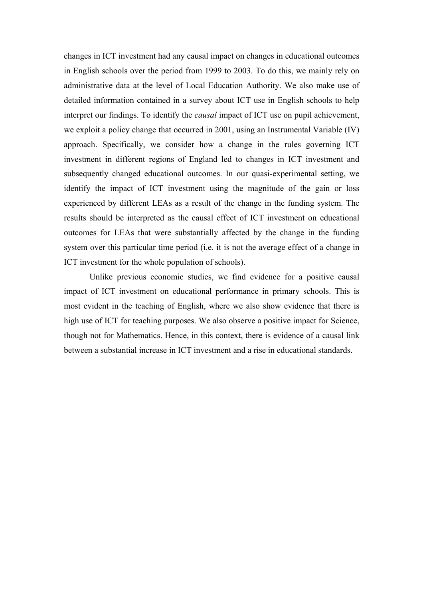changes in ICT investment had any causal impact on changes in educational outcomes in English schools over the period from 1999 to 2003. To do this, we mainly rely on administrative data at the level of Local Education Authority. We also make use of detailed information contained in a survey about ICT use in English schools to help interpret our findings. To identify the *causal* impact of ICT use on pupil achievement, we exploit a policy change that occurred in 2001, using an Instrumental Variable (IV) approach. Specifically, we consider how a change in the rules governing ICT investment in different regions of England led to changes in ICT investment and subsequently changed educational outcomes. In our quasi-experimental setting, we identify the impact of ICT investment using the magnitude of the gain or loss experienced by different LEAs as a result of the change in the funding system. The results should be interpreted as the causal effect of ICT investment on educational outcomes for LEAs that were substantially affected by the change in the funding system over this particular time period (i.e. it is not the average effect of a change in ICT investment for the whole population of schools).

Unlike previous economic studies, we find evidence for a positive causal impact of ICT investment on educational performance in primary schools. This is most evident in the teaching of English, where we also show evidence that there is high use of ICT for teaching purposes. We also observe a positive impact for Science, though not for Mathematics. Hence, in this context, there is evidence of a causal link between a substantial increase in ICT investment and a rise in educational standards.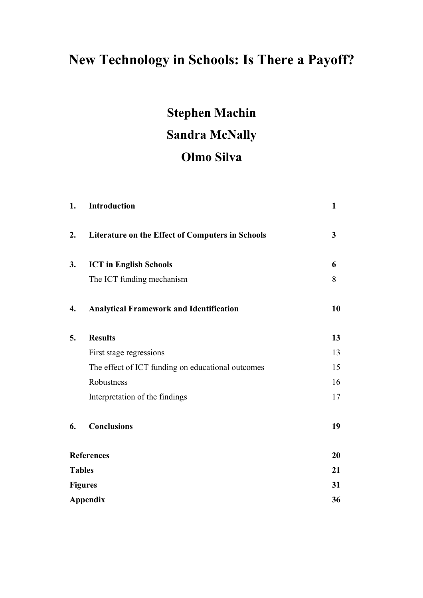## **New Technology in Schools: Is There a Payoff?**

# **Stephen Machin Sandra McNally Olmo Silva**

| 1. | Introduction                                            | $\mathbf{1}$ |
|----|---------------------------------------------------------|--------------|
| 2. | <b>Literature on the Effect of Computers in Schools</b> | 3            |
| 3. | <b>ICT</b> in English Schools                           | 6            |
|    | The ICT funding mechanism                               | 8            |
| 4. | <b>Analytical Framework and Identification</b>          | 10           |
| 5. | <b>Results</b>                                          | 13           |
|    | First stage regressions                                 | 13           |
|    | The effect of ICT funding on educational outcomes       | 15           |
|    | Robustness                                              | 16           |
|    | Interpretation of the findings                          | 17           |
| 6. | <b>Conclusions</b>                                      | 19           |
|    | <b>References</b>                                       | 20           |
|    | <b>Tables</b>                                           | 21           |
|    | <b>Figures</b>                                          | 31           |
|    | <b>Appendix</b>                                         | 36           |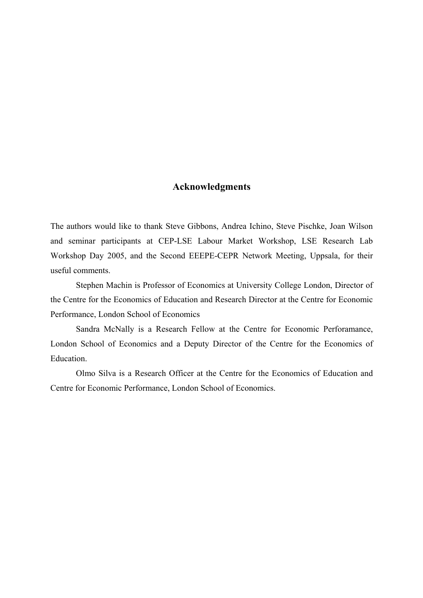#### **Acknowledgments**

The authors would like to thank Steve Gibbons, Andrea Ichino, Steve Pischke, Joan Wilson and seminar participants at CEP-LSE Labour Market Workshop, LSE Research Lab Workshop Day 2005, and the Second EEEPE-CEPR Network Meeting, Uppsala, for their useful comments.

Stephen Machin is Professor of Economics at University College London, Director of the Centre for the Economics of Education and Research Director at the Centre for Economic Performance, London School of Economics

Sandra McNally is a Research Fellow at the Centre for Economic Perforamance, London School of Economics and a Deputy Director of the Centre for the Economics of Education.

Olmo Silva is a Research Officer at the Centre for the Economics of Education and Centre for Economic Performance, London School of Economics.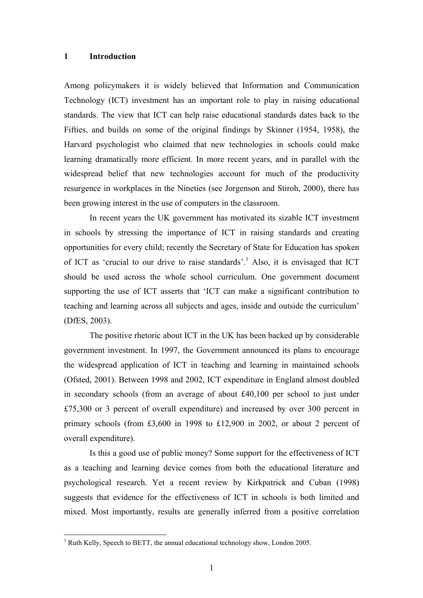#### **1 Introduction**

Among policymakers it is widely believed that Information and Communication Technology (ICT) investment has an important role to play in raising educational standards. The view that ICT can help raise educational standards dates back to the Fifties, and builds on some of the original findings by Skinner (1954, 1958), the Harvard psychologist who claimed that new technologies in schools could make learning dramatically more efficient. In more recent years, and in parallel with the widespread belief that new technologies account for much of the productivity resurgence in workplaces in the Nineties (see Jorgenson and Stiroh, 2000), there has been growing interest in the use of computers in the classroom.

In recent years the UK government has motivated its sizable ICT investment in schools by stressing the importance of ICT in raising standards and creating opportunities for every child; recently the Secretary of State for Education has spoken of ICT as 'crucial to our drive to raise standards'.<sup>1</sup> Also, it is envisaged that ICT should be used across the whole school curriculum. One government document supporting the use of ICT asserts that 'ICT can make a significant contribution to teaching and learning across all subjects and ages, inside and outside the curriculum' (DfES, 2003).

The positive rhetoric about ICT in the UK has been backed up by considerable government investment. In 1997, the Government announced its plans to encourage the widespread application of ICT in teaching and learning in maintained schools (Ofsted, 2001). Between 1998 and 2002, ICT expenditure in England almost doubled in secondary schools (from an average of about £40,100 per school to just under £75,300 or 3 percent of overall expenditure) and increased by over 300 percent in primary schools (from £3,600 in 1998 to £12,900 in 2002, or about 2 percent of overall expenditure).

Is this a good use of public money? Some support for the effectiveness of ICT as a teaching and learning device comes from both the educational literature and psychological research. Yet a recent review by Kirkpatrick and Cuban (1998) suggests that evidence for the effectiveness of ICT in schools is both limited and mixed. Most importantly, results are generally inferred from a positive correlation

<span id="page-6-0"></span><sup>&</sup>lt;sup>1</sup> Ruth Kelly, Speech to BETT, the annual educational technology show, London 2005.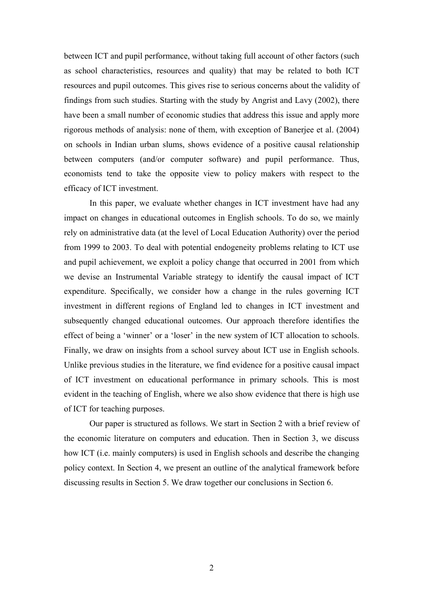between ICT and pupil performance, without taking full account of other factors (such as school characteristics, resources and quality) that may be related to both ICT resources and pupil outcomes. This gives rise to serious concerns about the validity of findings from such studies. Starting with the study by Angrist and Lavy (2002), there have been a small number of economic studies that address this issue and apply more rigorous methods of analysis: none of them, with exception of Banerjee et al. (2004) on schools in Indian urban slums, shows evidence of a positive causal relationship between computers (and/or computer software) and pupil performance. Thus, economists tend to take the opposite view to policy makers with respect to the efficacy of ICT investment.

In this paper, we evaluate whether changes in ICT investment have had any impact on changes in educational outcomes in English schools. To do so, we mainly rely on administrative data (at the level of Local Education Authority) over the period from 1999 to 2003. To deal with potential endogeneity problems relating to ICT use and pupil achievement, we exploit a policy change that occurred in 2001 from which we devise an Instrumental Variable strategy to identify the causal impact of ICT expenditure. Specifically, we consider how a change in the rules governing ICT investment in different regions of England led to changes in ICT investment and subsequently changed educational outcomes. Our approach therefore identifies the effect of being a 'winner' or a 'loser' in the new system of ICT allocation to schools. Finally, we draw on insights from a school survey about ICT use in English schools. Unlike previous studies in the literature, we find evidence for a positive causal impact of ICT investment on educational performance in primary schools. This is most evident in the teaching of English, where we also show evidence that there is high use of ICT for teaching purposes.

Our paper is structured as follows. We start in Section 2 with a brief review of the economic literature on computers and education. Then in Section 3, we discuss how ICT (i.e. mainly computers) is used in English schools and describe the changing policy context. In Section 4, we present an outline of the analytical framework before discussing results in Section 5. We draw together our conclusions in Section 6.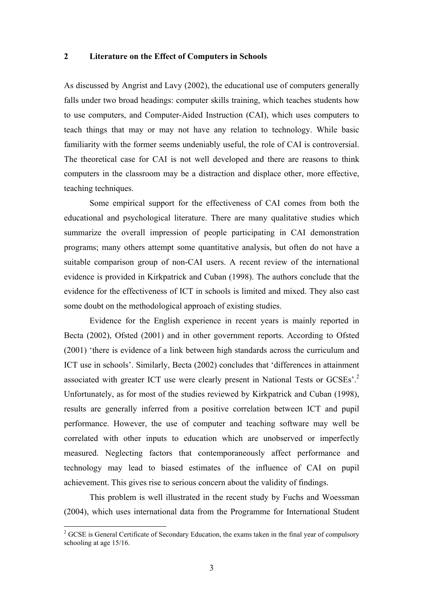#### **2 Literature on the Effect of Computers in Schools**

As discussed by Angrist and Lavy (2002), the educational use of computers generally falls under two broad headings: computer skills training, which teaches students how to use computers, and Computer-Aided Instruction (CAI), which uses computers to teach things that may or may not have any relation to technology. While basic familiarity with the former seems undeniably useful, the role of CAI is controversial. The theoretical case for CAI is not well developed and there are reasons to think computers in the classroom may be a distraction and displace other, more effective, teaching techniques.

Some empirical support for the effectiveness of CAI comes from both the educational and psychological literature. There are many qualitative studies which summarize the overall impression of people participating in CAI demonstration programs; many others attempt some quantitative analysis, but often do not have a suitable comparison group of non-CAI users. A recent review of the international evidence is provided in Kirkpatrick and Cuban (1998). The authors conclude that the evidence for the effectiveness of ICT in schools is limited and mixed. They also cast some doubt on the methodological approach of existing studies.

Evidence for the English experience in recent years is mainly reported in Becta (2002), Ofsted (2001) and in other government reports. According to Ofsted (2001) 'there is evidence of a link between high standards across the curriculum and ICT use in schools'. Similarly, Becta (2002) concludes that 'differences in attainment associated with greater ICT use were clearly present in National Tests or GCSEs'.[2](#page-8-0) Unfortunately, as for most of the studies reviewed by Kirkpatrick and Cuban (1998), results are generally inferred from a positive correlation between ICT and pupil performance. However, the use of computer and teaching software may well be correlated with other inputs to education which are unobserved or imperfectly measured. Neglecting factors that contemporaneously affect performance and technology may lead to biased estimates of the influence of CAI on pupil achievement. This gives rise to serious concern about the validity of findings.

This problem is well illustrated in the recent study by Fuchs and Woessman (2004), which uses international data from the Programme for International Student

 $\overline{a}$ 

<span id="page-8-0"></span> $2^{2}$  GCSE is General Certificate of Secondary Education, the exams taken in the final year of compulsory schooling at age 15/16.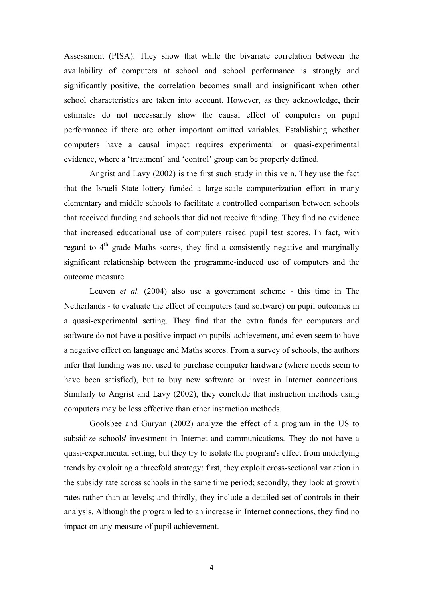Assessment (PISA). They show that while the bivariate correlation between the availability of computers at school and school performance is strongly and significantly positive, the correlation becomes small and insignificant when other school characteristics are taken into account. However, as they acknowledge, their estimates do not necessarily show the causal effect of computers on pupil performance if there are other important omitted variables. Establishing whether computers have a causal impact requires experimental or quasi-experimental evidence, where a 'treatment' and 'control' group can be properly defined.

Angrist and Lavy (2002) is the first such study in this vein. They use the fact that the Israeli State lottery funded a large-scale computerization effort in many elementary and middle schools to facilitate a controlled comparison between schools that received funding and schools that did not receive funding. They find no evidence that increased educational use of computers raised pupil test scores. In fact, with regard to  $4<sup>th</sup>$  grade Maths scores, they find a consistently negative and marginally significant relationship between the programme-induced use of computers and the outcome measure.

Leuven *et al.* (2004) also use a government scheme - this time in The Netherlands - to evaluate the effect of computers (and software) on pupil outcomes in a quasi-experimental setting. They find that the extra funds for computers and software do not have a positive impact on pupils' achievement, and even seem to have a negative effect on language and Maths scores. From a survey of schools, the authors infer that funding was not used to purchase computer hardware (where needs seem to have been satisfied), but to buy new software or invest in Internet connections. Similarly to Angrist and Lavy (2002), they conclude that instruction methods using computers may be less effective than other instruction methods.

Goolsbee and Guryan (2002) analyze the effect of a program in the US to subsidize schools' investment in Internet and communications. They do not have a quasi-experimental setting, but they try to isolate the program's effect from underlying trends by exploiting a threefold strategy: first, they exploit cross-sectional variation in the subsidy rate across schools in the same time period; secondly, they look at growth rates rather than at levels; and thirdly, they include a detailed set of controls in their analysis. Although the program led to an increase in Internet connections, they find no impact on any measure of pupil achievement.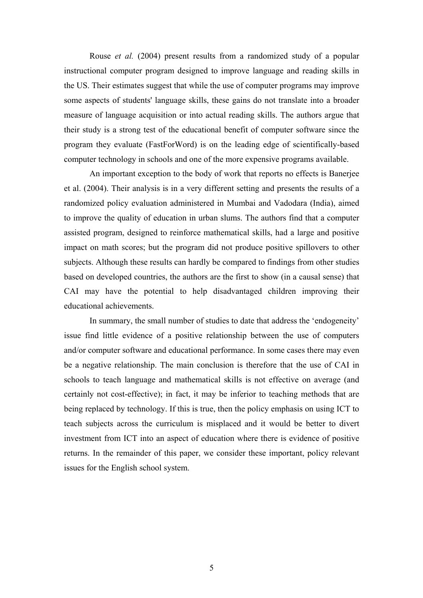Rouse *et al.* (2004) present results from a randomized study of a popular instructional computer program designed to improve language and reading skills in the US. Their estimates suggest that while the use of computer programs may improve some aspects of students' language skills, these gains do not translate into a broader measure of language acquisition or into actual reading skills. The authors argue that their study is a strong test of the educational benefit of computer software since the program they evaluate (FastForWord) is on the leading edge of scientifically-based computer technology in schools and one of the more expensive programs available.

An important exception to the body of work that reports no effects is Banerjee et al. (2004). Their analysis is in a very different setting and presents the results of a randomized policy evaluation administered in Mumbai and Vadodara (India), aimed to improve the quality of education in urban slums. The authors find that a computer assisted program, designed to reinforce mathematical skills, had a large and positive impact on math scores; but the program did not produce positive spillovers to other subjects. Although these results can hardly be compared to findings from other studies based on developed countries, the authors are the first to show (in a causal sense) that CAI may have the potential to help disadvantaged children improving their educational achievements.

In summary, the small number of studies to date that address the 'endogeneity' issue find little evidence of a positive relationship between the use of computers and/or computer software and educational performance. In some cases there may even be a negative relationship. The main conclusion is therefore that the use of CAI in schools to teach language and mathematical skills is not effective on average (and certainly not cost-effective); in fact, it may be inferior to teaching methods that are being replaced by technology. If this is true, then the policy emphasis on using ICT to teach subjects across the curriculum is misplaced and it would be better to divert investment from ICT into an aspect of education where there is evidence of positive returns. In the remainder of this paper, we consider these important, policy relevant issues for the English school system.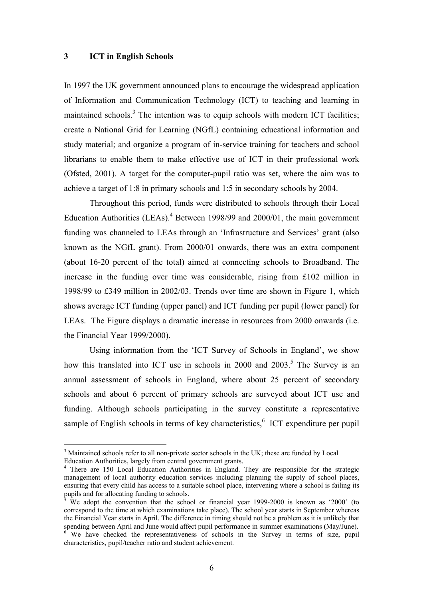#### **3 ICT in English Schools**

 $\overline{a}$ 

In 1997 the UK government announced plans to encourage the widespread application of Information and Communication Technology (ICT) to teaching and learning in maintained schools.<sup>3</sup> The intention was to equip schools with modern ICT facilities; create a National Grid for Learning (NGfL) containing educational information and study material; and organize a program of in-service training for teachers and school librarians to enable them to make effective use of ICT in their professional work (Ofsted, 2001). A target for the computer-pupil ratio was set, where the aim was to achieve a target of 1:8 in primary schools and 1:5 in secondary schools by 2004.

Throughout this period, funds were distributed to schools through their Local Education Authorities (LEAs). $^{4}$  $^{4}$  $^{4}$  Between 1998/99 and 2000/01, the main government funding was channeled to LEAs through an 'Infrastructure and Services' grant (also known as the NGfL grant). From 2000/01 onwards, there was an extra component (about 16-20 percent of the total) aimed at connecting schools to Broadband. The increase in the funding over time was considerable, rising from £102 million in 1998/99 to £349 million in 2002/03. Trends over time are shown in Figure 1, which shows average ICT funding (upper panel) and ICT funding per pupil (lower panel) for LEAs. The Figure displays a dramatic increase in resources from 2000 onwards (i.e. the Financial Year 1999/2000).

Using information from the 'ICT Survey of Schools in England', we show how this translated into ICT use in schools in  $2000$  and  $2003$ .<sup>[5](#page-11-2)</sup> The Survey is an annual assessment of schools in England, where about 25 percent of secondary schools and about 6 percent of primary schools are surveyed about ICT use and funding. Although schools participating in the survey constitute a representative sample of English schools in terms of key characteristics,  $6$  ICT expenditure per pupil

<span id="page-11-0"></span><sup>&</sup>lt;sup>3</sup> Maintained schools refer to all non-private sector schools in the UK; these are funded by Local Education Authorities, largely from central government grants. 4

<span id="page-11-1"></span><sup>&</sup>lt;sup>4</sup> There are 150 Local Education Authorities in England. They are responsible for the strategic management of local authority education services including planning the supply of school places, ensuring that every child has access to a suitable school place, intervening where a school is failing its pupils and for allocating funding to schools.<br><sup>5</sup> We adopt the convention that the school or financial year 1999-2000 is known as '2000' (to

<span id="page-11-2"></span>correspond to the time at which examinations take place). The school year starts in September whereas the Financial Year starts in April. The difference in timing should not be a problem as it is unlikely that spending between April and June would affect pupil performance in summer examinations (Mav/June).

<span id="page-11-3"></span>We have checked the representativeness of schools in the Survey in terms of size, pupil characteristics, pupil/teacher ratio and student achievement.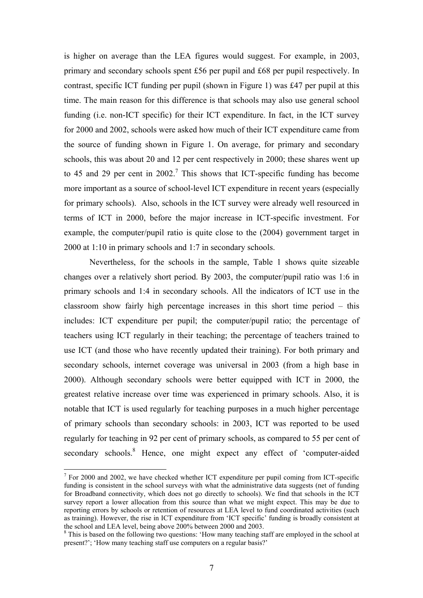is higher on average than the LEA figures would suggest. For example, in 2003, primary and secondary schools spent £56 per pupil and £68 per pupil respectively. In contrast, specific ICT funding per pupil (shown in Figure 1) was £47 per pupil at this time. The main reason for this difference is that schools may also use general school funding (i.e. non-ICT specific) for their ICT expenditure. In fact, in the ICT survey for 2000 and 2002, schools were asked how much of their ICT expenditure came from the source of funding shown in Figure 1. On average, for primary and secondary schools, this was about 20 and 12 per cent respectively in 2000; these shares went up to 45 and 29 per cent in 2002.<sup>7</sup> This shows that ICT-specific funding has become more important as a source of school-level ICT expenditure in recent years (especially for primary schools). Also, schools in the ICT survey were already well resourced in terms of ICT in 2000, before the major increase in ICT-specific investment. For example, the computer/pupil ratio is quite close to the (2004) government target in 2000 at 1:10 in primary schools and 1:7 in secondary schools.

Nevertheless, for the schools in the sample, Table 1 shows quite sizeable changes over a relatively short period. By 2003, the computer/pupil ratio was 1:6 in primary schools and 1:4 in secondary schools. All the indicators of ICT use in the classroom show fairly high percentage increases in this short time period – this includes: ICT expenditure per pupil; the computer/pupil ratio; the percentage of teachers using ICT regularly in their teaching; the percentage of teachers trained to use ICT (and those who have recently updated their training). For both primary and secondary schools, internet coverage was universal in 2003 (from a high base in 2000). Although secondary schools were better equipped with ICT in 2000, the greatest relative increase over time was experienced in primary schools. Also, it is notable that ICT is used regularly for teaching purposes in a much higher percentage of primary schools than secondary schools: in 2003, ICT was reported to be used regularly for teaching in 92 per cent of primary schools, as compared to 55 per cent of secondary schools.<sup>8</sup> Hence, one might expect any effect of 'computer-aided

 $\overline{a}$ 

<span id="page-12-0"></span> $7$  For 2000 and 2002, we have checked whether ICT expenditure per pupil coming from ICT-specific funding is consistent in the school surveys with what the administrative data suggests (net of funding for Broadband connectivity, which does not go directly to schools). We find that schools in the ICT survey report a lower allocation from this source than what we might expect. This may be due to reporting errors by schools or retention of resources at LEA level to fund coordinated activities (such as training). However, the rise in ICT expenditure from 'ICT specific' funding is broadly consistent at the school and LEA level, being above  $200\%$  between 2000 and 2003.

<span id="page-12-1"></span><sup>&</sup>lt;sup>8</sup> This is based on the following two questions: 'How many teaching staff are employed in the school at present?'; 'How many teaching staff use computers on a regular basis?'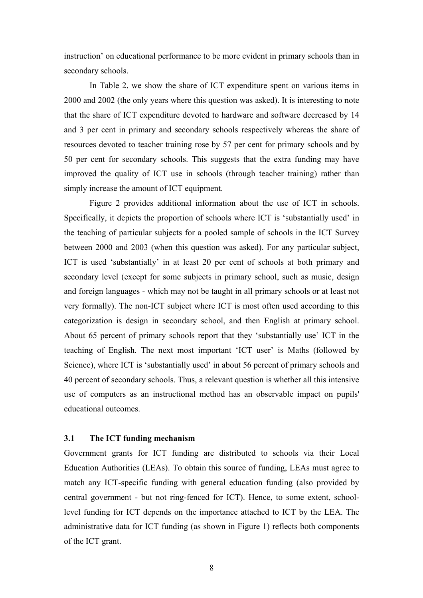instruction' on educational performance to be more evident in primary schools than in secondary schools.

In Table 2, we show the share of ICT expenditure spent on various items in 2000 and 2002 (the only years where this question was asked). It is interesting to note that the share of ICT expenditure devoted to hardware and software decreased by 14 and 3 per cent in primary and secondary schools respectively whereas the share of resources devoted to teacher training rose by 57 per cent for primary schools and by 50 per cent for secondary schools. This suggests that the extra funding may have improved the quality of ICT use in schools (through teacher training) rather than simply increase the amount of ICT equipment.

Figure 2 provides additional information about the use of ICT in schools. Specifically, it depicts the proportion of schools where ICT is 'substantially used' in the teaching of particular subjects for a pooled sample of schools in the ICT Survey between 2000 and 2003 (when this question was asked). For any particular subject, ICT is used 'substantially' in at least 20 per cent of schools at both primary and secondary level (except for some subjects in primary school, such as music, design and foreign languages - which may not be taught in all primary schools or at least not very formally). The non-ICT subject where ICT is most often used according to this categorization is design in secondary school, and then English at primary school. About 65 percent of primary schools report that they 'substantially use' ICT in the teaching of English. The next most important 'ICT user' is Maths (followed by Science), where ICT is 'substantially used' in about 56 percent of primary schools and 40 percent of secondary schools. Thus, a relevant question is whether all this intensive use of computers as an instructional method has an observable impact on pupils' educational outcomes.

#### **3.1 The ICT funding mechanism**

Government grants for ICT funding are distributed to schools via their Local Education Authorities (LEAs). To obtain this source of funding, LEAs must agree to match any ICT-specific funding with general education funding (also provided by central government - but not ring-fenced for ICT). Hence, to some extent, schoollevel funding for ICT depends on the importance attached to ICT by the LEA. The administrative data for ICT funding (as shown in Figure 1) reflects both components of the ICT grant.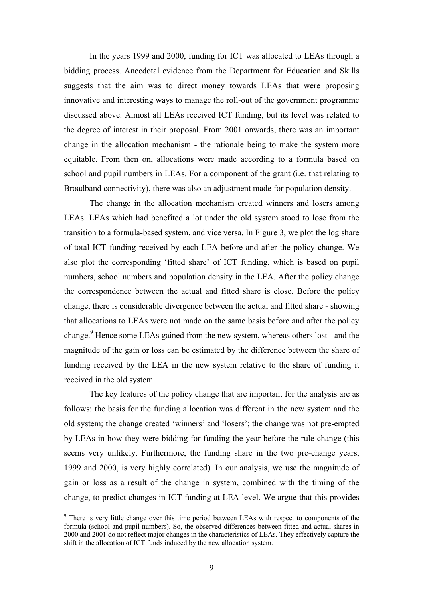In the years 1999 and 2000, funding for ICT was allocated to LEAs through a bidding process. Anecdotal evidence from the Department for Education and Skills suggests that the aim was to direct money towards LEAs that were proposing innovative and interesting ways to manage the roll-out of the government programme discussed above. Almost all LEAs received ICT funding, but its level was related to the degree of interest in their proposal. From 2001 onwards, there was an important change in the allocation mechanism - the rationale being to make the system more equitable. From then on, allocations were made according to a formula based on school and pupil numbers in LEAs. For a component of the grant (i.e. that relating to Broadband connectivity), there was also an adjustment made for population density.

The change in the allocation mechanism created winners and losers among LEAs. LEAs which had benefited a lot under the old system stood to lose from the transition to a formula-based system, and vice versa. In Figure 3, we plot the log share of total ICT funding received by each LEA before and after the policy change. We also plot the corresponding 'fitted share' of ICT funding, which is based on pupil numbers, school numbers and population density in the LEA. After the policy change the correspondence between the actual and fitted share is close. Before the policy change, there is considerable divergence between the actual and fitted share - showing that allocations to LEAs were not made on the same basis before and after the policy change.<sup>9</sup> Hence some LEAs gained from the new system, whereas others lost - and the magnitude of the gain or loss can be estimated by the difference between the share of funding received by the LEA in the new system relative to the share of funding it received in the old system.

The key features of the policy change that are important for the analysis are as follows: the basis for the funding allocation was different in the new system and the old system; the change created 'winners' and 'losers'; the change was not pre-empted by LEAs in how they were bidding for funding the year before the rule change (this seems very unlikely. Furthermore, the funding share in the two pre-change years, 1999 and 2000, is very highly correlated). In our analysis, we use the magnitude of gain or loss as a result of the change in system, combined with the timing of the change, to predict changes in ICT funding at LEA level. We argue that this provides

 $\overline{a}$ 

<span id="page-14-0"></span><sup>&</sup>lt;sup>9</sup> There is very little change over this time period between LEAs with respect to components of the formula (school and pupil numbers). So, the observed differences between fitted and actual shares in 2000 and 2001 do not reflect major changes in the characteristics of LEAs. They effectively capture the shift in the allocation of ICT funds induced by the new allocation system.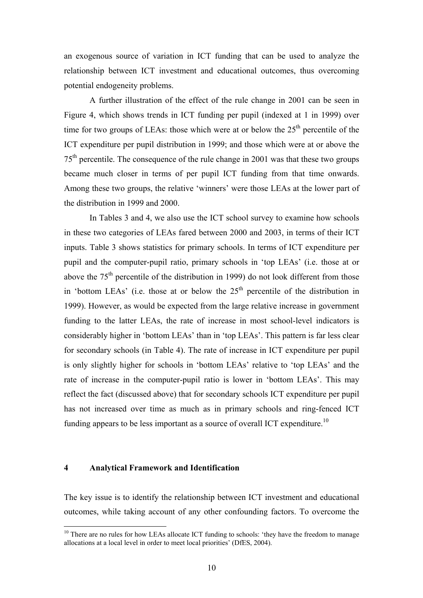an exogenous source of variation in ICT funding that can be used to analyze the relationship between ICT investment and educational outcomes, thus overcoming potential endogeneity problems.

A further illustration of the effect of the rule change in 2001 can be seen in Figure 4, which shows trends in ICT funding per pupil (indexed at 1 in 1999) over time for two groups of LEAs: those which were at or below the  $25<sup>th</sup>$  percentile of the ICT expenditure per pupil distribution in 1999; and those which were at or above the  $75<sup>th</sup>$  percentile. The consequence of the rule change in 2001 was that these two groups became much closer in terms of per pupil ICT funding from that time onwards. Among these two groups, the relative 'winners' were those LEAs at the lower part of the distribution in 1999 and 2000.

In Tables 3 and 4, we also use the ICT school survey to examine how schools in these two categories of LEAs fared between 2000 and 2003, in terms of their ICT inputs. Table 3 shows statistics for primary schools. In terms of ICT expenditure per pupil and the computer-pupil ratio, primary schools in 'top LEAs' (i.e. those at or above the  $75<sup>th</sup>$  percentile of the distribution in 1999) do not look different from those in 'bottom LEAs' (i.e. those at or below the  $25<sup>th</sup>$  percentile of the distribution in 1999). However, as would be expected from the large relative increase in government funding to the latter LEAs, the rate of increase in most school-level indicators is considerably higher in 'bottom LEAs' than in 'top LEAs'. This pattern is far less clear for secondary schools (in Table 4). The rate of increase in ICT expenditure per pupil is only slightly higher for schools in 'bottom LEAs' relative to 'top LEAs' and the rate of increase in the computer-pupil ratio is lower in 'bottom LEAs'. This may reflect the fact (discussed above) that for secondary schools ICT expenditure per pupil has not increased over time as much as in primary schools and ring-fenced ICT funding appears to be less important as a source of overall ICT expenditure.<sup>10</sup>

#### **4 Analytical Framework and Identification**

 $\overline{a}$ 

The key issue is to identify the relationship between ICT investment and educational outcomes, while taking account of any other confounding factors. To overcome the

<span id="page-15-0"></span> $10$  There are no rules for how LEAs allocate ICT funding to schools: 'they have the freedom to manage allocations at a local level in order to meet local priorities' (DfES, 2004).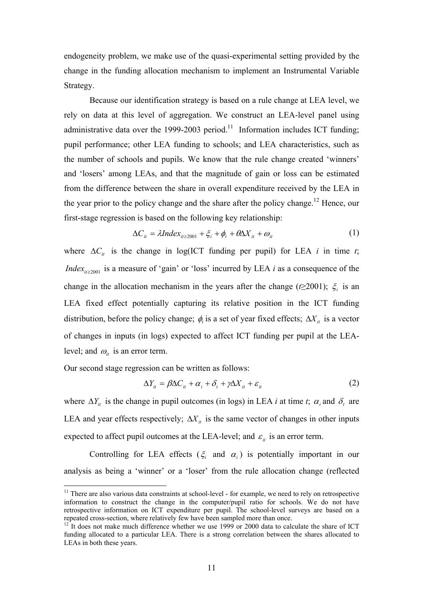endogeneity problem, we make use of the quasi-experimental setting provided by the change in the funding allocation mechanism to implement an Instrumental Variable Strategy.

Because our identification strategy is based on a rule change at LEA level, we rely on data at this level of aggregation. We construct an LEA-level panel using administrative data over the 1999-2003 period.<sup>11</sup> Information includes ICT funding; pupil performance; other LEA funding to schools; and LEA characteristics, such as the number of schools and pupils. We know that the rule change created 'winners' and 'losers' among LEAs, and that the magnitude of gain or loss can be estimated from the difference between the share in overall expenditure received by the LEA in the year prior to the policy change and the share after the policy change.<sup>12</sup> Hence, our first-stage regression is based on the following key relationship:

$$
\Delta C_{it} = \lambda Index_{it \ge 2001} + \xi_i + \phi_t + \theta \Delta X_{it} + \omega_{it}
$$
 (1)

where  $\Delta C_i$  is the change in log(ICT funding per pupil) for LEA *i* in time *t*; *Index*<sub>*it*≥2001</sub> is a measure of 'gain' or 'loss' incurred by LEA *i* as a consequence of the change in the allocation mechanism in the years after the change ( $\ell \geq 2001$ );  $\xi_i$  is an LEA fixed effect potentially capturing its relative position in the ICT funding distribution, before the policy change;  $\phi_t$  is a set of year fixed effects;  $\Delta X_i$  is a vector of changes in inputs (in logs) expected to affect ICT funding per pupil at the LEAlevel; and  $\omega_{it}$  is an error term.

Our second stage regression can be written as follows:

 $\overline{a}$ 

$$
\Delta Y_{it} = \beta \Delta C_{it} + \alpha_i + \delta_t + \gamma \Delta X_{it} + \varepsilon_{it}
$$
\n(2)

where  $\Delta Y_i$  is the change in pupil outcomes (in logs) in LEA *i* at time *t*;  $\alpha_i$  and  $\delta$ , are LEA and year effects respectively;  $\Delta X_i$  is the same vector of changes in other inputs expected to affect pupil outcomes at the LEA-level; and  $\varepsilon$ <sub>it</sub> is an error term.

Controlling for LEA effects ( $\xi$  and  $\alpha$ <sub>i</sub>) is potentially important in our analysis as being a 'winner' or a 'loser' from the rule allocation change (reflected

<span id="page-16-0"></span> $11$  There are also various data constraints at school-level - for example, we need to rely on retrospective information to construct the change in the computer/pupil ratio for schools. We do not have retrospective information on ICT expenditure per pupil. The school-level surveys are based on a repeated cross-section, where relatively few have been sampled more than once. 12 It does not make much difference whether we use 1999 or 2000 data to calculate the share of ICT

<span id="page-16-1"></span>funding allocated to a particular LEA. There is a strong correlation between the shares allocated to LEAs in both these years.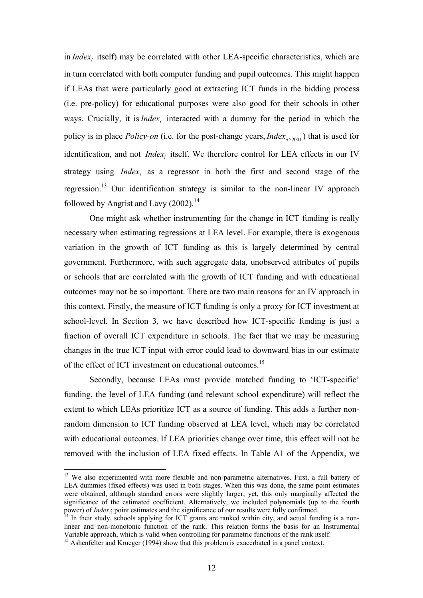in *Index<sub>i</sub>* itself) may be correlated with other LEA-specific characteristics, which are in turn correlated with both computer funding and pupil outcomes. This might happen if LEAs that were particularly good at extracting ICT funds in the bidding process (i.e. pre-policy) for educational purposes were also good for their schools in other ways. Crucially, it is *Index<sub>i</sub>* interacted with a dummy for the period in which the policy is in place *Policy-on* (i.e. for the post-change years, *Index*<sub>*it*≥2001</sub>) that is used for identification, and not *Index<sub>i</sub>* itself. We therefore control for LEA effects in our IV strategy using *Index<sub>i</sub>* as a regressor in both the first and second stage of the regression.<sup>13</sup> Our identification strategy is similar to the non-linear IV approach followed by Angrist and Lavy  $(2002).<sup>14</sup>$  $(2002).<sup>14</sup>$  $(2002).<sup>14</sup>$ 

One might ask whether instrumenting for the change in ICT funding is really necessary when estimating regressions at LEA level. For example, there is exogenous variation in the growth of ICT funding as this is largely determined by central government. Furthermore, with such aggregate data, unobserved attributes of pupils or schools that are correlated with the growth of ICT funding and with educational outcomes may not be so important. There are two main reasons for an IV approach in this context. Firstly, the measure of ICT funding is only a proxy for ICT investment at school-level. In Section 3, we have described how ICT-specific funding is just a fraction of overall ICT expenditure in schools. The fact that we may be measuring changes in the true ICT input with error could lead to downward bias in our estimate of the effect of ICT investment on educational outcomes.<sup>15</sup>

Secondly, because LEAs must provide matched funding to 'ICT-specific' funding, the level of LEA funding (and relevant school expenditure) will reflect the extent to which LEAs prioritize ICT as a source of funding. This adds a further nonrandom dimension to ICT funding observed at LEA level, which may be correlated with educational outcomes. If LEA priorities change over time, this effect will not be removed with the inclusion of LEA fixed effects. In Table A1 of the Appendix, we

 $\overline{a}$ 

<span id="page-17-0"></span><sup>&</sup>lt;sup>13</sup> We also experimented with more flexible and non-parametric alternatives. First, a full battery of LEA dummies (fixed effects) was used in both stages. When this was done, the same point estimates were obtained, although standard errors were slightly larger; yet, this only marginally affected the significance of the estimated coefficient. Alternatively, we included polynomials (up to the fourth power) of *Index<sub>i</sub>*; point estimates and the significance of our results were fully confirmed.

<span id="page-17-1"></span><sup>&</sup>lt;sup>14</sup> In their study, schools applying for ICT grants are ranked within city, and actual funding is a nonlinear and non-monotonic function of the rank. This relation forms the basis for an Instrumental Variable approach, which is valid when controlling for parametric functions of the rank itself.

<span id="page-17-2"></span><sup>&</sup>lt;sup>15</sup> Ashenfelter and Krueger (1994) show that this problem is exacerbated in a panel context.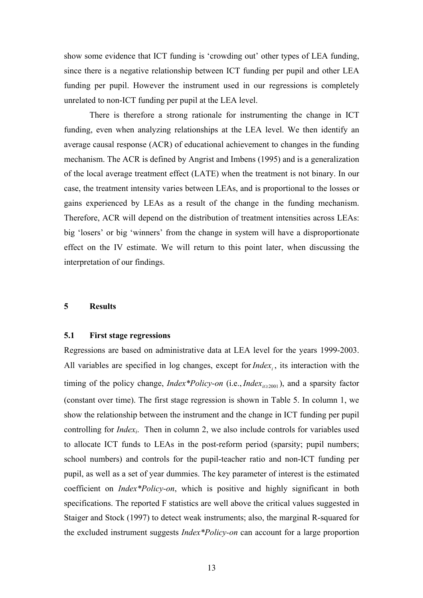show some evidence that ICT funding is 'crowding out' other types of LEA funding, since there is a negative relationship between ICT funding per pupil and other LEA funding per pupil. However the instrument used in our regressions is completely unrelated to non-ICT funding per pupil at the LEA level.

There is therefore a strong rationale for instrumenting the change in ICT funding, even when analyzing relationships at the LEA level. We then identify an average causal response (ACR) of educational achievement to changes in the funding mechanism. The ACR is defined by Angrist and Imbens (1995) and is a generalization of the local average treatment effect (LATE) when the treatment is not binary. In our case, the treatment intensity varies between LEAs, and is proportional to the losses or gains experienced by LEAs as a result of the change in the funding mechanism. Therefore, ACR will depend on the distribution of treatment intensities across LEAs: big 'losers' or big 'winners' from the change in system will have a disproportionate effect on the IV estimate. We will return to this point later, when discussing the interpretation of our findings.

#### **5 Results**

#### **5.1 First stage regressions**

Regressions are based on administrative data at LEA level for the years 1999-2003. All variables are specified in log changes, except for  $Index_i$ , its interaction with the timing of the policy change, *Index\*Policy-on* (i.e., *Index<sub>it≥2001</sub>*), and a sparsity factor (constant over time). The first stage regression is shown in Table 5. In column 1, we show the relationship between the instrument and the change in ICT funding per pupil controlling for *Index <sup>i</sup>*. Then in column 2, we also include controls for variables used to allocate ICT funds to LEAs in the post-reform period (sparsity; pupil numbers; school numbers) and controls for the pupil-teacher ratio and non-ICT funding per pupil, as well as a set of year dummies. The key parameter of interest is the estimated coefficient on *Index\*Policy-on*, which is positive and highly significant in both specifications. The reported F statistics are well above the critical values suggested in Staiger and Stock (1997) to detect weak instruments; also, the marginal R-squared for the excluded instrument suggests *Index\*Policy-on* can account for a large proportion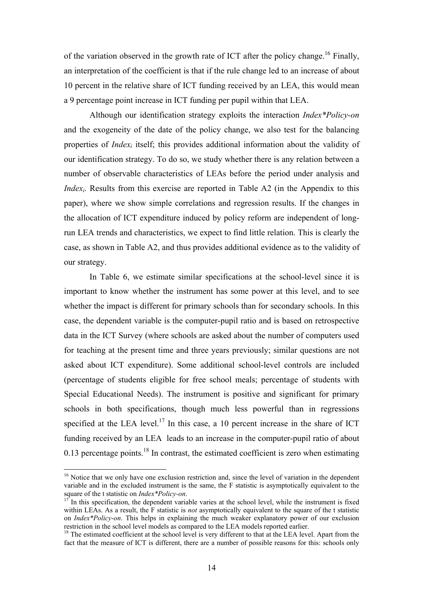of the variation observed in the growth rate of ICT after the policy change.<sup>16</sup> Finally, an interpretation of the coefficient is that if the rule change led to an increase of about 10 percent in the relative share of ICT funding received by an LEA, this would mean a 9 percentage point increase in ICT funding per pupil within that LEA.

Although our identification strategy exploits the interaction *Index\*Policy-on* and the exogeneity of the date of the policy change, we also test for the balancing properties of *Indexi* itself; this provides additional information about the validity of our identification strategy. To do so, we study whether there is any relation between a number of observable characteristics of LEAs before the period under analysis and *Index<sub>i</sub>*. Results from this exercise are reported in Table A2 (in the Appendix to this paper), where we show simple correlations and regression results. If the changes in the allocation of ICT expenditure induced by policy reform are independent of longrun LEA trends and characteristics, we expect to find little relation. This is clearly the case, as shown in Table A2, and thus provides additional evidence as to the validity of our strategy.

In Table 6, we estimate similar specifications at the school-level since it is important to know whether the instrument has some power at this level, and to see whether the impact is different for primary schools than for secondary schools. In this case, the dependent variable is the computer-pupil ratio and is based on retrospective data in the ICT Survey (where schools are asked about the number of computers used for teaching at the present time and three years previously; similar questions are not asked about ICT expenditure). Some additional school-level controls are included (percentage of students eligible for free school meals; percentage of students with Special Educational Needs). The instrument is positive and significant for primary schools in both specifications, though much less powerful than in regressions specified at the LEA level.<sup>17</sup> In this case, a 10 percent increase in the share of ICT funding received by an LEA leads to an increase in the computer-pupil ratio of about 0.13 percentage points.<sup>18</sup> In contrast, the estimated coefficient is zero when estimating

 $\overline{a}$ 

<span id="page-19-0"></span><sup>&</sup>lt;sup>16</sup> Notice that we only have one exclusion restriction and, since the level of variation in the dependent variable and in the excluded instrument is the same, the F statistic is asymptotically equivalent to the square of the t statistic on *Index\*Policy-on*.

<span id="page-19-1"></span>In this specification, the dependent variable varies at the school level, while the instrument is fixed within LEAs. As a result, the F statistic is *not* asymptotically equivalent to the square of the t statistic on *Index\*Policy-on*. This helps in explaining the much weaker explanatory power of our exclusion restriction in the school level models as compared to the LEA models reported earlier.

<span id="page-19-2"></span> $\frac{18}{18}$  The estimated coefficient at the school level is very different to that at the LEA level. Apart from the fact that the measure of ICT is different, there are a number of possible reasons for this: schools only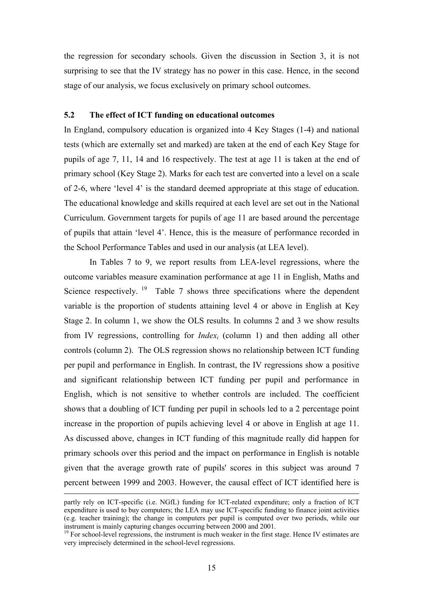the regression for secondary schools. Given the discussion in Section 3, it is not surprising to see that the IV strategy has no power in this case. Hence, in the second stage of our analysis, we focus exclusively on primary school outcomes.

#### **5.2 The effect of ICT funding on educational outcomes**

In England, compulsory education is organized into 4 Key Stages (1-4) and national tests (which are externally set and marked) are taken at the end of each Key Stage for pupils of age 7, 11, 14 and 16 respectively. The test at age 11 is taken at the end of primary school (Key Stage 2). Marks for each test are converted into a level on a scale of 2-6, where 'level 4' is the standard deemed appropriate at this stage of education. The educational knowledge and skills required at each level are set out in the National Curriculum. Government targets for pupils of age 11 are based around the percentage of pupils that attain 'level 4'. Hence, this is the measure of performance recorded in the School Performance Tables and used in our analysis (at LEA level).

In Tables 7 to 9, we report results from LEA-level regressions, where the outcome variables measure examination performance at age 11 in English, Maths and Science respectively. <sup>19</sup> Table 7 shows three specifications where the dependent variable is the proportion of students attaining level 4 or above in English at Key Stage 2. In column 1, we show the OLS results. In columns 2 and 3 we show results from IV regressions, controlling for *Indexi* (column 1) and then adding all other controls (column 2). The OLS regression shows no relationship between ICT funding per pupil and performance in English. In contrast, the IV regressions show a positive and significant relationship between ICT funding per pupil and performance in English, which is not sensitive to whether controls are included. The coefficient shows that a doubling of ICT funding per pupil in schools led to a 2 percentage point increase in the proportion of pupils achieving level 4 or above in English at age 11. As discussed above, changes in ICT funding of this magnitude really did happen for primary schools over this period and the impact on performance in English is notable given that the average growth rate of pupils' scores in this subject was around 7 percent between 1999 and 2003. However, the causal effect of ICT identified here is

partly rely on ICT-specific (i.e. NGfL) funding for ICT-related expenditure; only a fraction of ICT expenditure is used to buy computers; the LEA may use ICT-specific funding to finance joint activities (e.g. teacher training); the change in computers per pupil is computed over two periods, while our instrument is mainly capturing changes occurring between 2000 and 2001.

<span id="page-20-0"></span><sup>&</sup>lt;sup>19</sup> For school-level regressions, the instrument is much weaker in the first stage. Hence IV estimates are very imprecisely determined in the school-level regressions.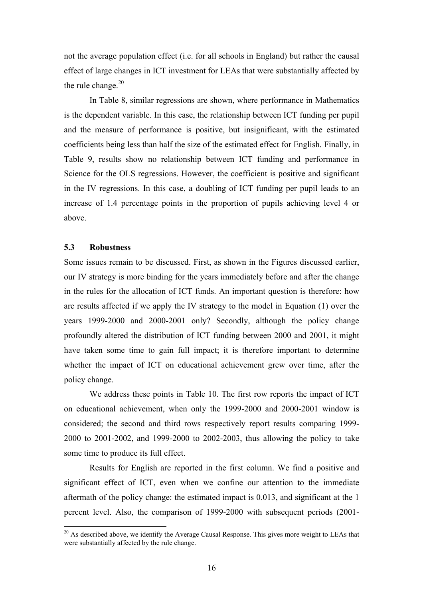not the average population effect (i.e. for all schools in England) but rather the causal effect of large changes in ICT investment for LEAs that were substantially affected by the rule change. $20$ 

In Table 8, similar regressions are shown, where performance in Mathematics is the dependent variable. In this case, the relationship between ICT funding per pupil and the measure of performance is positive, but insignificant, with the estimated coefficients being less than half the size of the estimated effect for English. Finally, in Table 9, results show no relationship between ICT funding and performance in Science for the OLS regressions. However, the coefficient is positive and significant in the IV regressions. In this case, a doubling of ICT funding per pupil leads to an increase of 1.4 percentage points in the proportion of pupils achieving level 4 or above.

#### **5.3 Robustness**

 $\overline{a}$ 

Some issues remain to be discussed. First, as shown in the Figures discussed earlier, our IV strategy is more binding for the years immediately before and after the change in the rules for the allocation of ICT funds. An important question is therefore: how are results affected if we apply the IV strategy to the model in Equation (1) over the years 1999-2000 and 2000-2001 only? Secondly, although the policy change profoundly altered the distribution of ICT funding between 2000 and 2001, it might have taken some time to gain full impact; it is therefore important to determine whether the impact of ICT on educational achievement grew over time, after the policy change.

We address these points in Table 10. The first row reports the impact of ICT on educational achievement, when only the 1999-2000 and 2000-2001 window is considered; the second and third rows respectively report results comparing 1999- 2000 to 2001-2002, and 1999-2000 to 2002-2003, thus allowing the policy to take some time to produce its full effect.

Results for English are reported in the first column. We find a positive and significant effect of ICT, even when we confine our attention to the immediate aftermath of the policy change: the estimated impact is 0.013, and significant at the 1 percent level. Also, the comparison of 1999-2000 with subsequent periods (2001-

<span id="page-21-0"></span> $20$  As described above, we identify the Average Causal Response. This gives more weight to LEAs that were substantially affected by the rule change.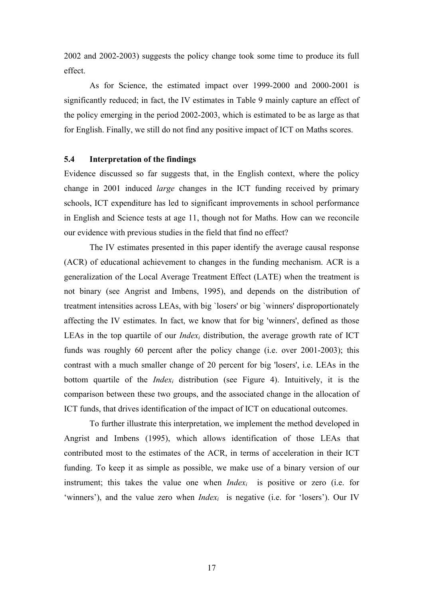2002 and 2002-2003) suggests the policy change took some time to produce its full effect.

As for Science, the estimated impact over 1999-2000 and 2000-2001 is significantly reduced; in fact, the IV estimates in Table 9 mainly capture an effect of the policy emerging in the period 2002-2003, which is estimated to be as large as that for English. Finally, we still do not find any positive impact of ICT on Maths scores.

#### **5.4 Interpretation of the findings**

Evidence discussed so far suggests that, in the English context, where the policy change in 2001 induced *large* changes in the ICT funding received by primary schools, ICT expenditure has led to significant improvements in school performance in English and Science tests at age 11, though not for Maths. How can we reconcile our evidence with previous studies in the field that find no effect?

The IV estimates presented in this paper identify the average causal response (ACR) of educational achievement to changes in the funding mechanism. ACR is a generalization of the Local Average Treatment Effect (LATE) when the treatment is not binary (see Angrist and Imbens, 1995), and depends on the distribution of treatment intensities across LEAs, with big `losers' or big `winners' disproportionately affecting the IV estimates. In fact, we know that for big 'winners', defined as those LEAs in the top quartile of our *Index<sub>i</sub>* distribution, the average growth rate of ICT funds was roughly 60 percent after the policy change (i.e. over 2001-2003); this contrast with a much smaller change of 20 percent for big 'losers', i.e. LEAs in the bottom quartile of the *Indexi* distribution (see Figure 4). Intuitively, it is the comparison between these two groups, and the associated change in the allocation of ICT funds, that drives identification of the impact of ICT on educational outcomes.

To further illustrate this interpretation, we implement the method developed in Angrist and Imbens (1995), which allows identification of those LEAs that contributed most to the estimates of the ACR, in terms of acceleration in their ICT funding. To keep it as simple as possible, we make use of a binary version of our instrument; this takes the value one when *Index<sub>i</sub>* is positive or zero (i.e. for 'winners'), and the value zero when *Index<sub>i</sub>* is negative (i.e. for 'losers'). Our IV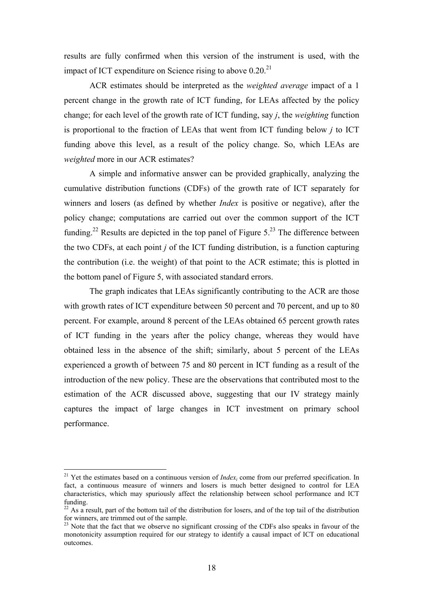results are fully confirmed when this version of the instrument is used, with the impact of ICT expenditure on Science rising to above  $0.20<sup>21</sup>$ 

ACR estimates should be interpreted as the *weighted average* impact of a 1 percent change in the growth rate of ICT funding, for LEAs affected by the policy change; for each level of the growth rate of ICT funding, say *j*, the *weighting* function is proportional to the fraction of LEAs that went from ICT funding below *j* to ICT funding above this level, as a result of the policy change. So, which LEAs are *weighted* more in our ACR estimates?

A simple and informative answer can be provided graphically, analyzing the cumulative distribution functions (CDFs) of the growth rate of ICT separately for winners and losers (as defined by whether *Index* is positive or negative), after the policy change; computations are carried out over the common support of the ICT funding.<sup>22</sup> Results are depicted in the top panel of Figure  $5<sup>23</sup>$  The difference between the two CDFs, at each point *j* of the ICT funding distribution, is a function capturing the contribution (i.e. the weight) of that point to the ACR estimate; this is plotted in the bottom panel of Figure 5, with associated standard errors.

The graph indicates that LEAs significantly contributing to the ACR are those with growth rates of ICT expenditure between 50 percent and 70 percent, and up to 80 percent. For example, around 8 percent of the LEAs obtained 65 percent growth rates of ICT funding in the years after the policy change, whereas they would have obtained less in the absence of the shift; similarly, about 5 percent of the LEAs experienced a growth of between 75 and 80 percent in ICT funding as a result of the introduction of the new policy. These are the observations that contributed most to the estimation of the ACR discussed above, suggesting that our IV strategy mainly captures the impact of large changes in ICT investment on primary school performance.

 $\overline{a}$ 

<span id="page-23-0"></span><sup>&</sup>lt;sup>21</sup> Yet the estimates based on a continuous version of *Index<sub>i</sub>* come from our preferred specification. In fact, a continuous measure of winners and losers is much better designed to control for LEA characteristics, which may spuriously affect the relationship between school performance and ICT funding.<br><sup>22</sup> As a result, part of the bottom tail of the distribution for losers, and of the top tail of the distribution

<span id="page-23-1"></span>for winners, are trimmed out of the sample.<br><sup>23</sup> Note that the fact that we observe no significant crossing of the CDFs also speaks in favour of the

<span id="page-23-2"></span>monotonicity assumption required for our strategy to identify a causal impact of ICT on educational outcomes.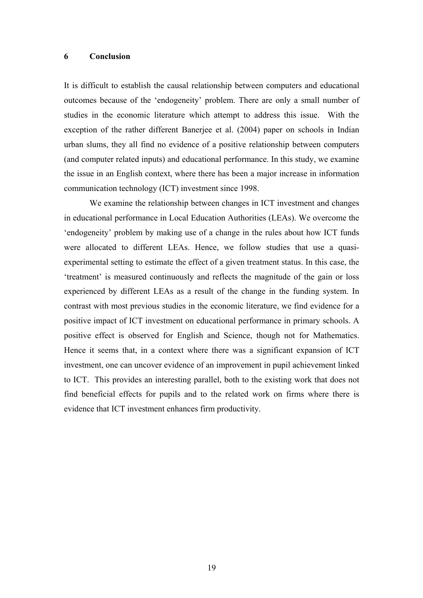#### **6 Conclusion**

It is difficult to establish the causal relationship between computers and educational outcomes because of the 'endogeneity' problem. There are only a small number of studies in the economic literature which attempt to address this issue. With the exception of the rather different Banerjee et al. (2004) paper on schools in Indian urban slums, they all find no evidence of a positive relationship between computers (and computer related inputs) and educational performance. In this study, we examine the issue in an English context, where there has been a major increase in information communication technology (ICT) investment since 1998.

We examine the relationship between changes in ICT investment and changes in educational performance in Local Education Authorities (LEAs). We overcome the 'endogeneity' problem by making use of a change in the rules about how ICT funds were allocated to different LEAs. Hence, we follow studies that use a quasiexperimental setting to estimate the effect of a given treatment status. In this case, the 'treatment' is measured continuously and reflects the magnitude of the gain or loss experienced by different LEAs as a result of the change in the funding system. In contrast with most previous studies in the economic literature, we find evidence for a positive impact of ICT investment on educational performance in primary schools. A positive effect is observed for English and Science, though not for Mathematics. Hence it seems that, in a context where there was a significant expansion of ICT investment, one can uncover evidence of an improvement in pupil achievement linked to ICT. This provides an interesting parallel, both to the existing work that does not find beneficial effects for pupils and to the related work on firms where there is evidence that ICT investment enhances firm productivity.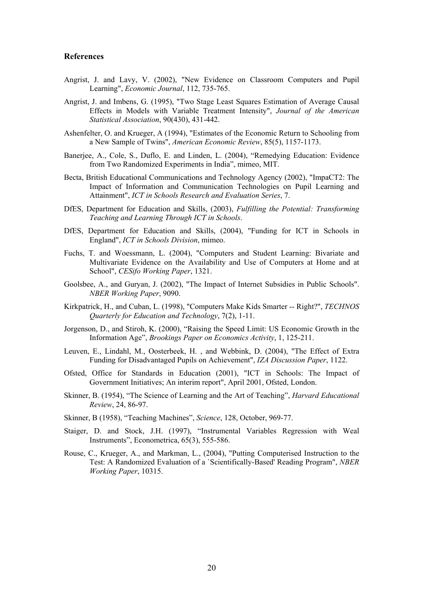#### **References**

- Angrist, J. and Lavy, V. (2002), "New Evidence on Classroom Computers and Pupil Learning", *Economic Journal*, 112, 735-765.
- Angrist, J. and Imbens, G. (1995), "Two Stage Least Squares Estimation of Average Causal Effects in Models with Variable Treatment Intensity", *Journal of the American Statistical Association*, 90(430), 431-442.
- Ashenfelter, O. and Krueger, A (1994), "Estimates of the Economic Return to Schooling from a New Sample of Twins", *American Economic Review*, 85(5), 1157-1173.
- Baneriee, A., Cole, S., Duflo, E. and Linden, L. (2004), "Remedying Education: Evidence from Two Randomized Experiments in India", mimeo, MIT.
- Becta, British Educational Communications and Technology Agency (2002), "ImpaCT2: The Impact of Information and Communication Technologies on Pupil Learning and Attainment", *ICT in Schools Research and Evaluation Series*, 7.
- DfES, Department for Education and Skills, (2003), *Fulfilling the Potential: Transforming Teaching and Learning Through ICT in Schools*.
- DfES, Department for Education and Skills, (2004), "Funding for ICT in Schools in England", *ICT in Schools Division*, mimeo.
- Fuchs, T. and Woessmann, L. (2004), "Computers and Student Learning: Bivariate and Multivariate Evidence on the Availability and Use of Computers at Home and at School", *CESifo Working Paper*, 1321.
- Goolsbee, A., and Guryan, J. (2002), "The Impact of Internet Subsidies in Public Schools". *NBER Working Paper*, 9090.
- Kirkpatrick, H., and Cuban, L. (1998), "Computers Make Kids Smarter -- Right?", *TECHNOS Quarterly for Education and Technology*, 7(2), 1-11.
- Jorgenson, D., and Stiroh, K. (2000), "Raising the Speed Limit: US Economic Growth in the Information Age", *Brookings Paper on Economics Activity*, 1, 125-211.
- Leuven, E., Lindahl, M., Oosterbeek, H. , and Webbink, D. (2004), "The Effect of Extra Funding for Disadvantaged Pupils on Achievement", *IZA Discussion Paper*, 1122.
- Ofsted, Office for Standards in Education (2001), "ICT in Schools: The Impact of Government Initiatives; An interim report", April 2001, Ofsted, London.
- Skinner, B. (1954), "The Science of Learning and the Art of Teaching", *Harvard Educational Review*, 24, 86-97.
- Skinner, B (1958), "Teaching Machines", *Science*, 128, October, 969-77.
- Staiger, D. and Stock, J.H. (1997), "Instrumental Variables Regression with Weal Instruments", Econometrica, 65(3), 555-586.
- Rouse, C., Krueger, A., and Markman, L., (2004), "Putting Computerised Instruction to the Test: A Randomized Evaluation of a `Scientifically-Based' Reading Program", *NBER Working Paper*, 10315.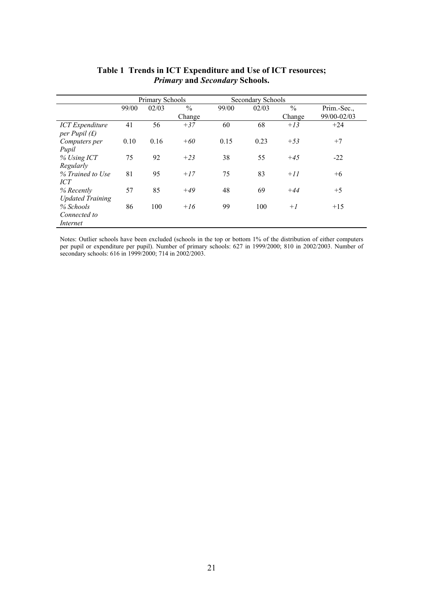|                                           |       | Primary Schools |               |       | Secondary Schools |               |             |
|-------------------------------------------|-------|-----------------|---------------|-------|-------------------|---------------|-------------|
|                                           | 99/00 | 02/03           | $\frac{0}{0}$ | 99/00 | 02/03             | $\frac{0}{0}$ | Prim.-Sec., |
|                                           |       |                 | Change        |       |                   | Change        | 99/00-02/03 |
| <b>ICT</b> Expenditure<br>per Pupil $(f)$ | 41    | 56              | $+37$         | 60    | 68                | $+13$         | $+24$       |
| Computers per                             | 0.10  | 0.16            | $+60$         | 0.15  | 0.23              | $+53$         | $+7$        |
| Pupil                                     |       |                 |               |       |                   |               |             |
| $%$ Using ICT                             | 75    | 92              | $+23$         | 38    | 55                | $+45$         | $-22$       |
| Regularly                                 |       |                 |               |       |                   |               |             |
| % Trained to Use<br>ICT                   | 81    | 95              | $+17$         | 75    | 83                | $+11$         | $+6$        |
| % Recently                                | 57    | 85              | $+49$         | 48    | 69                | $+44$         | $+5$        |
| <b>Updated Training</b>                   |       |                 |               |       |                   |               |             |
| % Schools                                 | 86    | 100             | $+16$         | 99    | 100               | $+1$          | $+15$       |
| Connected to                              |       |                 |               |       |                   |               |             |
| Internet                                  |       |                 |               |       |                   |               |             |

#### **Table 1 Trends in ICT Expenditure and Use of ICT resources;**  *Primary* **and** *Secondary* **Schools.**

Notes: Outlier schools have been excluded (schools in the top or bottom 1% of the distribution of either computers per pupil or expenditure per pupil). Number of primary schools: 627 in 1999/2000; 810 in 2002/2003. Number of secondary schools: 616 in 1999/2000; 714 in 2002/2003.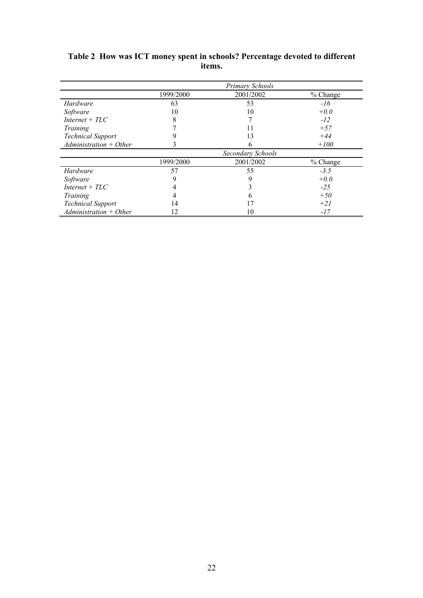|                          |           | Primary Schools   |          |
|--------------------------|-----------|-------------------|----------|
|                          | 1999/2000 | 2001/2002         | % Change |
| Hardware                 | 63        | 53                | $-16$    |
| Software                 | 10        | 10                | $+0.0$   |
| $Internet + TLC$         | 8         |                   | $-12$    |
| Training                 |           |                   | $+57$    |
| <b>Technical Support</b> |           | 13                | $+44$    |
| $Administration + Other$ | 3         | n                 | $+100$   |
|                          |           | Secondary Schools |          |
|                          | 1999/2000 | 2001/2002         | % Change |
| Hardware                 | 57        | 55                | $-3.5$   |
| Software                 | 9         | 9                 | $+0.0$   |
| $Internet + TLC$         |           |                   | $-25$    |
| Training                 |           | n                 | $+50$    |
| <b>Technical Support</b> | 14        |                   | $+21$    |
| $Administration + Other$ | 12        | 10                | $-17$    |

#### **Table 2 How was ICT money spent in schools? Percentage devoted to different items.**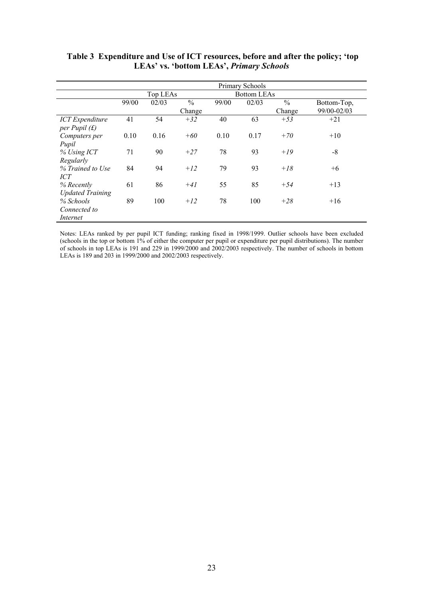|                                  | Primary Schools |          |               |       |                    |               |             |
|----------------------------------|-----------------|----------|---------------|-------|--------------------|---------------|-------------|
|                                  |                 | Top LEAs |               |       | <b>Bottom LEAs</b> |               |             |
|                                  | 99/00           | 02/03    | $\frac{0}{0}$ | 99/00 | 02/03              | $\frac{0}{0}$ | Bottom-Top, |
|                                  |                 |          | Change        |       |                    | Change        | 99/00-02/03 |
| <b>ICT</b> Expenditure           | 41              | 54       | $+32$         | 40    | 63                 | $+53$         | $+21$       |
| per Pupil $(f)$<br>Computers per | 0.10            | 0.16     | $+60$         | 0.10  | 0.17               | $+70$         | $+10$       |
| Pupil                            |                 |          |               |       |                    |               |             |
| $%$ Using ICT                    | 71              | 90       | $+27$         | 78    | 93                 | $+19$         | -8          |
| Regularly                        |                 |          |               |       |                    |               |             |
| % Trained to Use                 | 84              | 94       | $+12$         | 79    | 93                 | $+18$         | $+6$        |
| <b>ICT</b>                       |                 |          |               |       |                    |               |             |
| % Recently                       | 61              | 86       | $+41$         | 55    | 85                 | $+54$         | $+13$       |
| <b>Updated Training</b>          |                 |          |               |       |                    |               |             |
| % Schools                        | 89              | 100      | $+12$         | 78    | 100                | $+28$         | $+16$       |
| Connected to                     |                 |          |               |       |                    |               |             |
| Internet                         |                 |          |               |       |                    |               |             |

 **Table 3 Expenditure and Use of ICT resources, before and after the policy; 'top LEAs' vs. 'bottom LEAs',** *Primary Schools*

Notes: LEAs ranked by per pupil ICT funding; ranking fixed in 1998/1999. Outlier schools have been excluded (schools in the top or bottom 1% of either the computer per pupil or expenditure per pupil distributions). The number of schools in top LEAs is 191 and 229 in 1999/2000 and 2002/2003 respectively. The number of schools in bottom LEAs is 189 and 203 in 1999/2000 and 2002/2003 respectively.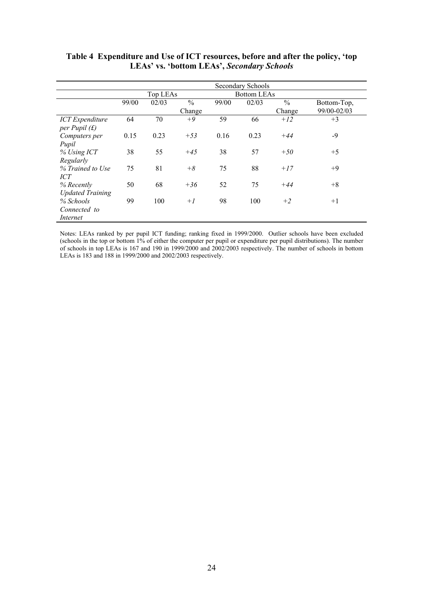|                                           | Secondary Schools |                                |               |       |       |               |             |
|-------------------------------------------|-------------------|--------------------------------|---------------|-------|-------|---------------|-------------|
|                                           |                   | Top LEAs<br><b>Bottom LEAs</b> |               |       |       |               |             |
|                                           | 99/00             | 02/03                          | $\frac{0}{0}$ | 99/00 | 02/03 | $\frac{0}{0}$ | Bottom-Top, |
|                                           |                   |                                | Change        |       |       | Change        | 99/00-02/03 |
| <b>ICT</b> Expenditure<br>per Pupil $(f)$ | 64                | 70                             | $+9$          | 59    | 66    | $+12$         | $+3$        |
| Computers per<br>Pupil                    | 0.15              | 0.23                           | $+53$         | 0.16  | 0.23  | $+44$         | $-9$        |
| $%$ Using ICT<br>Regularly                | 38                | 55                             | $+45$         | 38    | 57    | $+50$         | $+5$        |
| % Trained to Use<br><b>ICT</b>            | 75                | 81                             | $+8$          | 75    | 88    | $+17$         | $+9$        |
| % Recently<br><b>Updated Training</b>     | 50                | 68                             | $+36$         | 52    | 75    | $+44$         | $+8$        |
| % Schools<br>Connected to<br>Internet     | 99                | 100                            | $+1$          | 98    | 100   | $+2$          | $+1$        |

**Table 4 Expenditure and Use of ICT resources, before and after the policy, 'top LEAs' vs. 'bottom LEAs',** *Secondary Schools*

Notes: LEAs ranked by per pupil ICT funding; ranking fixed in 1999/2000. Outlier schools have been excluded (schools in the top or bottom 1% of either the computer per pupil or expenditure per pupil distributions). The number of schools in top LEAs is 167 and 190 in 1999/2000 and 2002/2003 respectively. The number of schools in bottom LEAs is 183 and 188 in 1999/2000 and 2002/2003 respectively.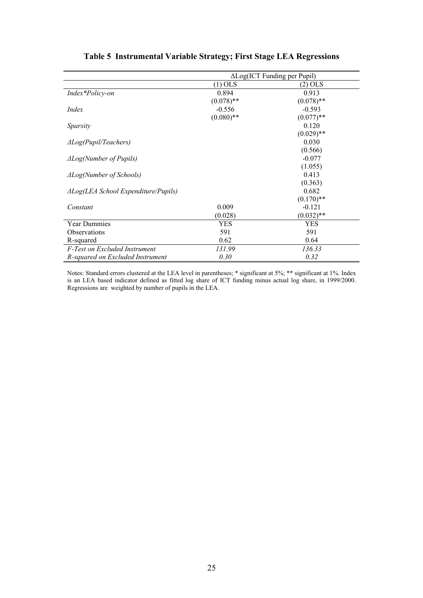|                                                | $\Delta$ Log(ICT Funding per Pupil) |              |  |
|------------------------------------------------|-------------------------------------|--------------|--|
|                                                | $(1)$ OLS                           | (2) OLS      |  |
| Index*Policy-on                                | 0.894                               | 0.913        |  |
|                                                | $(0.078)$ **                        | $(0.078)$ ** |  |
| <i>Index</i>                                   | $-0.556$                            | $-0.593$     |  |
|                                                | $(0.080)$ **                        | $(0.077)$ ** |  |
| Sparsity                                       |                                     | 0.120        |  |
|                                                |                                     | $(0.029)$ ** |  |
| $\triangle Log(Pupil/Teaches)$                 |                                     | 0.030        |  |
|                                                |                                     | (0.566)      |  |
| $\triangle Log(Number$ of Pupils)              |                                     | $-0.077$     |  |
|                                                |                                     | (1.055)      |  |
| $\triangle Log(Number$ of Schools)             |                                     | 0.413        |  |
|                                                |                                     | (0.363)      |  |
| $\triangle Log(LEA$ School Expenditure/Pupils) |                                     | 0.682        |  |
|                                                |                                     | $(0.170)$ ** |  |
| Constant                                       | 0.009                               | $-0.121$     |  |
|                                                | (0.028)                             | $(0.032)$ ** |  |
| <b>Year Dummies</b>                            | YES                                 | YES          |  |
| Observations                                   | 591                                 | 591          |  |
| R-squared                                      | 0.62                                | 0.64         |  |
| F-Test on Excluded Instrument                  | 131.99                              | 136.33       |  |
| R-squared on Excluded Instrument               | 0.30                                | 0.32         |  |

#### **Table 5 Instrumental Variable Strategy; First Stage LEA Regressions**

Notes: Standard errors clustered at the LEA level in parentheses; \* significant at 5%; \*\* significant at 1%. Index is an LEA based indicator defined as fitted log share of ICT funding minus actual log share, in 1999/2000. Regressions are weighted by number of pupils in the LEA.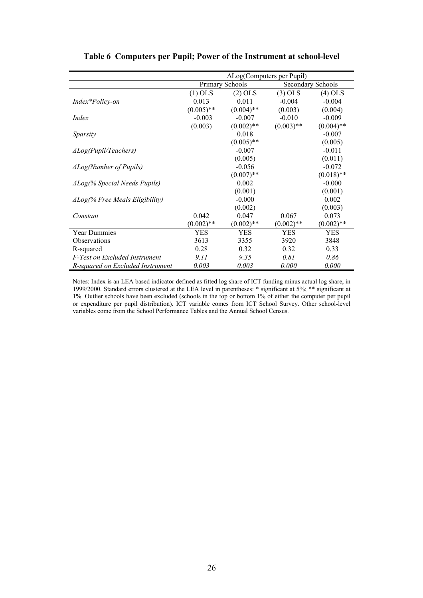|                                         | $\Delta$ Log(Computers per Pupil) |                 |              |                   |
|-----------------------------------------|-----------------------------------|-----------------|--------------|-------------------|
|                                         |                                   | Primary Schools |              | Secondary Schools |
|                                         | $(1)$ OLS                         | $(2)$ OLS       | $(3)$ OLS    | (4) OLS           |
| Index*Policy-on                         | 0.013                             | 0.011           | $-0.004$     | $-0.004$          |
|                                         | $(0.005)$ **                      | $(0.004)$ **    | (0.003)      | (0.004)           |
| <i>Index</i>                            | $-0.003$                          | $-0.007$        | $-0.010$     | $-0.009$          |
|                                         | (0.003)                           | $(0.002)$ **    | $(0.003)$ ** | $(0.004)$ **      |
| Sparsity                                |                                   | 0.018           |              | $-0.007$          |
|                                         |                                   | $(0.005)$ **    |              | (0.005)           |
| $\triangle Log(Pupil/Teaches)$          |                                   | $-0.007$        |              | $-0.011$          |
|                                         |                                   | (0.005)         |              | (0.011)           |
| $\triangle Log(Number$ of Pupils)       |                                   | $-0.056$        |              | $-0.072$          |
|                                         |                                   | $(0.007)$ **    |              | $(0.018)$ **      |
| $\Delta Log$ (% Special Needs Pupils)   |                                   | 0.002           |              | $-0.000$          |
|                                         |                                   | (0.001)         |              | (0.001)           |
| $\Delta Log$ (% Free Meals Eligibility) |                                   | $-0.000$        |              | 0.002             |
|                                         |                                   | (0.002)         |              | (0.003)           |
| Constant                                | 0.042                             | 0.047           | 0.067        | 0.073             |
|                                         | $(0.002)$ **                      | $(0.002)$ **    | $(0.002)$ ** | $(0.002)$ **      |
| <b>Year Dummies</b>                     | YES                               | <b>YES</b>      | YES          | YES               |
| Observations                            | 3613                              | 3355            | 3920         | 3848              |
| R-squared                               | 0.28                              | 0.32            | 0.32         | 0.33              |
| F-Test on Excluded Instrument           | 9.11                              | 9.35            | 0.81         | 0.86              |
| R-squared on Excluded Instrument        | 0.003                             | 0.003           | 0.000        | 0.000             |

#### **Table 6 Computers per Pupil; Power of the Instrument at school-level**

Notes: Index is an LEA based indicator defined as fitted log share of ICT funding minus actual log share, in 1999/2000. Standard errors clustered at the LEA level in parentheses: \* significant at 5%; \*\* significant at 1%. Outlier schools have been excluded (schools in the top or bottom 1% of either the computer per pupil or expenditure per pupil distribution). ICT variable comes from ICT School Survey. Other school-level variables come from the School Performance Tables and the Annual School Census.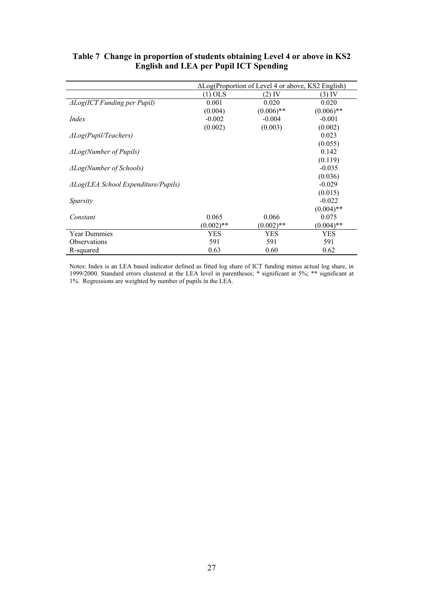|                                                |              | $\Delta$ Log(Proportion of Level 4 or above, KS2 English) |              |
|------------------------------------------------|--------------|-----------------------------------------------------------|--------------|
|                                                | $(1)$ OLS    | (2) IV                                                    | (3) IV       |
| $\triangle Log(ICT\, Funding\, per\, Pupil)$   | 0.001        | 0.020                                                     | 0.020        |
|                                                | (0.004)      | $(0.006)$ **                                              | $(0.006)$ ** |
| Index                                          | $-0.002$     | $-0.004$                                                  | $-0.001$     |
|                                                | (0.002)      | (0.003)                                                   | (0.002)      |
| $\triangle Log(Pupil/Teaches)$                 |              |                                                           | 0.023        |
|                                                |              |                                                           | (0.055)      |
| $\Delta Log(Number$ of Pupils)                 |              |                                                           | 0.142        |
|                                                |              |                                                           | (0.119)      |
| $\Delta Log(Number$ of Schools)                |              |                                                           | $-0.035$     |
|                                                |              |                                                           | (0.036)      |
| $\triangle Log(LEA$ School Expenditure/Pupils) |              |                                                           | $-0.029$     |
|                                                |              |                                                           | (0.015)      |
| Sparsity                                       |              |                                                           | $-0.022$     |
|                                                |              |                                                           | $(0.004)$ ** |
| Constant                                       | 0.065        | 0.066                                                     | 0.075        |
|                                                | $(0.002)$ ** | $(0.002)$ **                                              | $(0.004)$ ** |
| <b>Year Dummies</b>                            | YES          | YES                                                       | <b>YES</b>   |
| <b>Observations</b>                            | 591          | 591                                                       | 591          |
| R-squared                                      | 0.63         | 0.60                                                      | 0.62         |

#### **Table 7 Change in proportion of students obtaining Level 4 or above in KS2 English and LEA per Pupil ICT Spending**

Notes: Index is an LEA based indicator defined as fitted log share of ICT funding minus actual log share, in 1999/2000. Standard errors clustered at the LEA level in parentheses; \* significant at 5%; \*\* significant at 1%. Regressions are weighted by number of pupils in the LEA.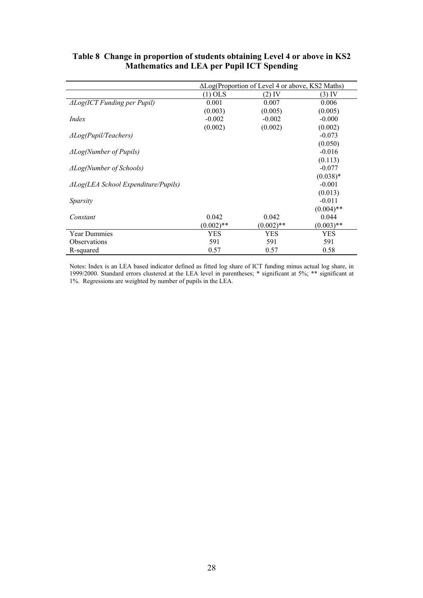|                                                |              | $\Delta$ Log(Proportion of Level 4 or above, KS2 Maths) |              |
|------------------------------------------------|--------------|---------------------------------------------------------|--------------|
|                                                | $(1)$ OLS    | (2) IV                                                  | $(3)$ IV     |
| $\triangle Log(ICT$ Funding per Pupil)         | 0.001        | 0.007                                                   | 0.006        |
|                                                | (0.003)      | (0.005)                                                 | (0.005)      |
| Index                                          | $-0.002$     | $-0.002$                                                | $-0.000$     |
|                                                | (0.002)      | (0.002)                                                 | (0.002)      |
| $\triangle Log(Pupil/Teaches)$                 |              |                                                         | $-0.073$     |
|                                                |              |                                                         | (0.050)      |
| <b>ALog(Number of Pupils)</b>                  |              |                                                         | $-0.016$     |
|                                                |              |                                                         | (0.113)      |
| $\Delta Log(Number$ of Schools)                |              |                                                         | $-0.077$     |
|                                                |              |                                                         | $(0.038)*$   |
| $\triangle Log(LEA$ School Expenditure/Pupils) |              |                                                         | $-0.001$     |
|                                                |              |                                                         | (0.013)      |
| Sparsity                                       |              |                                                         | $-0.011$     |
|                                                |              |                                                         | $(0.004)$ ** |
| Constant                                       | 0.042        | 0.042                                                   | 0.044        |
|                                                | $(0.002)$ ** | $(0.002)$ **                                            | $(0.003)$ ** |
| <b>Year Dummies</b>                            | YES          | YES                                                     | YES          |
| <b>Observations</b>                            | 591          | 591                                                     | 591          |
| R-squared                                      | 0.57         | 0.57                                                    | 0.58         |

#### **Table 8 Change in proportion of students obtaining Level 4 or above in KS2 Mathematics and LEA per Pupil ICT Spending**

Notes: Index is an LEA based indicator defined as fitted log share of ICT funding minus actual log share, in 1999/2000. Standard errors clustered at the LEA level in parentheses; \* significant at 5%; \*\* significant at 1%. Regressions are weighted by number of pupils in the LEA.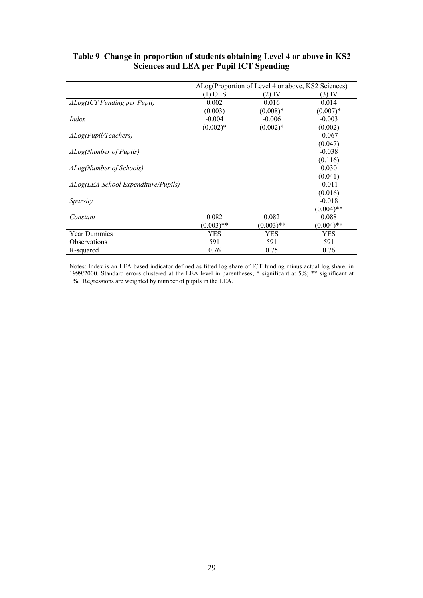|                                                |              | $\Delta$ Log(Proportion of Level 4 or above, KS2 Sciences) |              |
|------------------------------------------------|--------------|------------------------------------------------------------|--------------|
|                                                | $(1)$ OLS    | (2) IV                                                     | $(3)$ IV     |
| $\triangle Log(ICT\, Funding\, per\, Pupil)$   | 0.002        | 0.016                                                      | 0.014        |
|                                                | (0.003)      | $(0.008)*$                                                 | $(0.007)*$   |
| Index                                          | $-0.004$     | $-0.006$                                                   | $-0.003$     |
|                                                | $(0.002)*$   | $(0.002)*$                                                 | (0.002)      |
| $\triangle Log(Pupil/Teaches)$                 |              |                                                            | $-0.067$     |
|                                                |              |                                                            | (0.047)      |
| $\triangle Log(Number$ of Pupils)              |              |                                                            | $-0.038$     |
|                                                |              |                                                            | (0.116)      |
| $\Delta Log(Number$ of Schools)                |              |                                                            | 0.030        |
|                                                |              |                                                            | (0.041)      |
| $\triangle Log(LEA$ School Expenditure/Pupils) |              |                                                            | $-0.011$     |
|                                                |              |                                                            | (0.016)      |
| Sparsity                                       |              |                                                            | $-0.018$     |
|                                                |              |                                                            | $(0.004)$ ** |
| Constant                                       | 0.082        | 0.082                                                      | 0.088        |
|                                                | $(0.003)$ ** | $(0.003)$ **                                               | $(0.004)$ ** |
| <b>Year Dummies</b>                            | <b>YES</b>   | <b>YES</b>                                                 | YES          |
| <b>Observations</b>                            | 591          | 591                                                        | 591          |
| R-squared                                      | 0.76         | 0.75                                                       | 0.76         |

#### **Table 9 Change in proportion of students obtaining Level 4 or above in KS2 Sciences and LEA per Pupil ICT Spending**

Notes: Index is an LEA based indicator defined as fitted log share of ICT funding minus actual log share, in 1999/2000. Standard errors clustered at the LEA level in parentheses; \* significant at 5%; \*\* significant at 1%. Regressions are weighted by number of pupils in the LEA.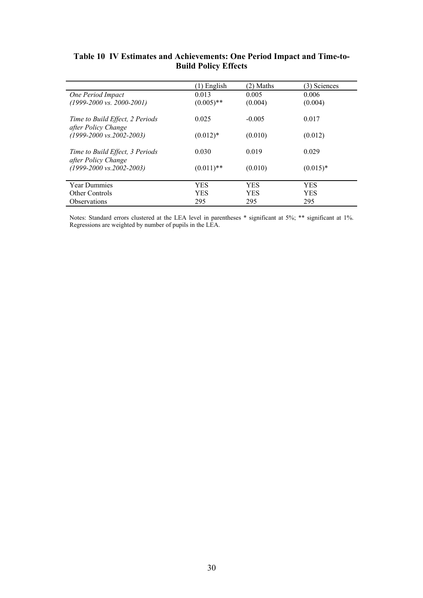|                                                        | $(1)$ English | (2) Maths  | (3) Sciences |
|--------------------------------------------------------|---------------|------------|--------------|
| One Period Impact                                      | 0.013         | 0.005      | 0.006        |
| $(1999-2000 \text{ vs. } 2000-2001)$                   | $(0.005)$ **  | (0.004)    | (0.004)      |
| Time to Build Effect, 2 Periods<br>after Policy Change | 0.025         | $-0.005$   | 0.017        |
| $(1999-2000 \text{ vs. } 2002-2003)$                   | $(0.012)*$    | (0.010)    | (0.012)      |
| Time to Build Effect, 3 Periods<br>after Policy Change | 0.030         | 0.019      | 0.029        |
| $(1999-2000 \text{ vs. } 2002-2003)$                   | $(0.011)$ **  | (0.010)    | $(0.015)*$   |
| <b>Year Dummies</b>                                    | <b>YES</b>    | <b>YES</b> | <b>YES</b>   |
| <b>Other Controls</b>                                  | <b>YES</b>    | <b>YES</b> | <b>YES</b>   |
| <i><b>Observations</b></i>                             | 295           | 295        | 295          |

#### **Table 10 IV Estimates and Achievements: One Period Impact and Time-to-Build Policy Effects**

Notes: Standard errors clustered at the LEA level in parentheses \* significant at 5%; \*\* significant at 1%. Regressions are weighted by number of pupils in the LEA.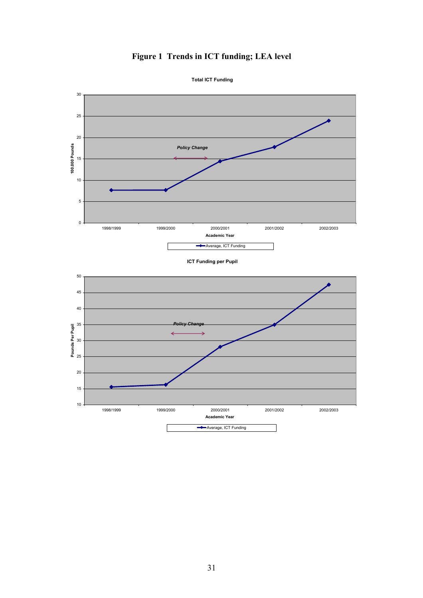# **Figure 1 Trends in ICT funding; LEA level Total ICT Funding**

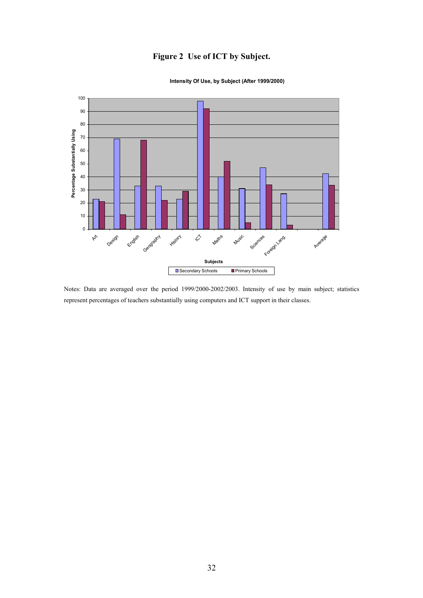#### **Figure 2 Use of ICT by Subject.**



#### **Intensity Of Use, by Subject (After 1999/2000)**

Notes: Data are averaged over the period 1999/2000-2002/2003. Intensity of use by main subject; statistics represent percentages of teachers substantially using computers and ICT support in their classes.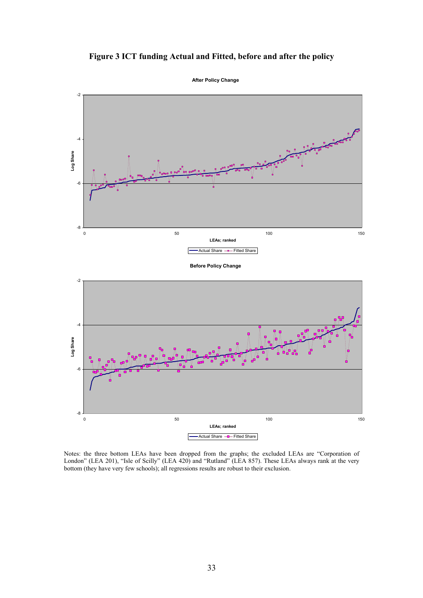



Notes: the three bottom LEAs have been dropped from the graphs; the excluded LEAs are "Corporation of London" (LEA 201), "Isle of Scilly" (LEA 420) and "Rutland" (LEA 857). These LEAs always rank at the very bottom (they have very few schools); all regressions results are robust to their exclusion.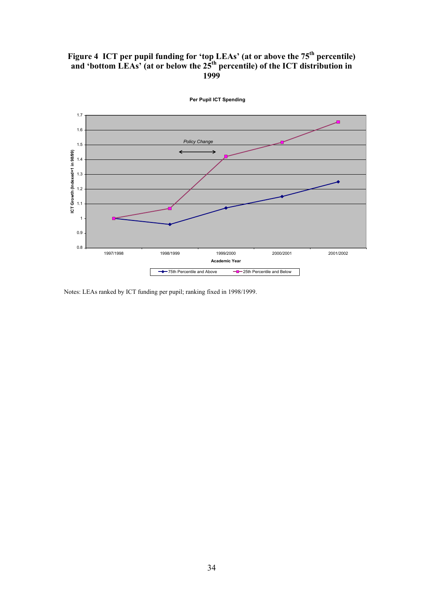#### Figure 4 ICT per pupil funding for 'top LEAs' (at or above the 75<sup>th</sup> percentile) and 'bottom LEAs' (at or below the 25<sup>th</sup> percentile) of the ICT distribution in **1999**



**Per Pupil ICT Spending**

Notes: LEAs ranked by ICT funding per pupil; ranking fixed in 1998/1999.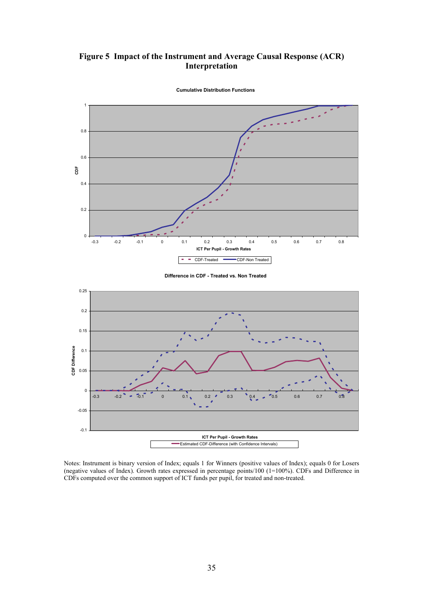#### **Figure 5 Impact of the Instrument and Average Causal Response (ACR) Interpretation**



**Cumulative Distribution Functions**

**Difference in CDF - Treated vs. Non Treated**



Notes: Instrument is binary version of Index; equals 1 for Winners (positive values of Index); equals 0 for Losers (negative values of Index). Growth rates expressed in percentage points/100 (1=100%). CDFs and Difference in CDFs computed over the common support of ICT funds per pupil, for treated and non-treated.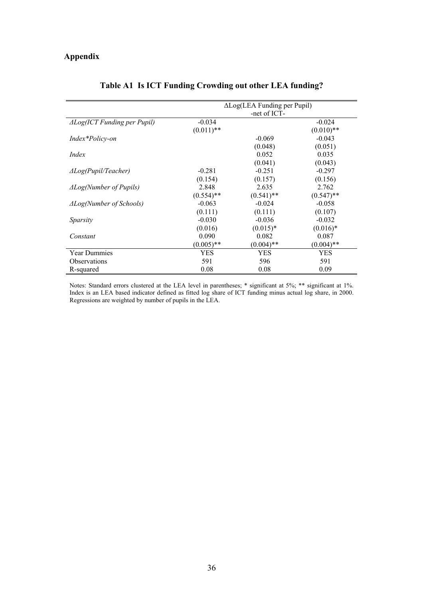#### **Appendix**

|                                              | $\Delta$ Log(LEA Funding per Pupil) |              |              |  |  |
|----------------------------------------------|-------------------------------------|--------------|--------------|--|--|
|                                              |                                     | -net of ICT- |              |  |  |
| $\triangle Log(ICT\, Funding\, per\, Pupil)$ | $-0.034$                            |              | $-0.024$     |  |  |
|                                              | $(0.011)$ **                        |              | $(0.010)**$  |  |  |
| Index*Policy-on                              |                                     | $-0.069$     | $-0.043$     |  |  |
|                                              |                                     | (0.048)      | (0.051)      |  |  |
| <i>Index</i>                                 |                                     | 0.052        | 0.035        |  |  |
|                                              |                                     | (0.041)      | (0.043)      |  |  |
| $\triangle Log(Pupil/Teacher)$               | $-0.281$                            | $-0.251$     | $-0.297$     |  |  |
|                                              | (0.154)                             | (0.157)      | (0.156)      |  |  |
| $\Delta Log(Number$ of Pupils)               | 2.848                               | 2.635        | 2.762        |  |  |
|                                              | $(0.554)$ **                        | $(0.541)$ ** | $(0.547)$ ** |  |  |
| $\triangle Log(Number$ of Schools)           | $-0.063$                            | $-0.024$     | $-0.058$     |  |  |
|                                              | (0.111)                             | (0.111)      | (0.107)      |  |  |
| Sparsity                                     | $-0.030$                            | $-0.036$     | $-0.032$     |  |  |
|                                              | (0.016)                             | $(0.015)^*$  | $(0.016)*$   |  |  |
| Constant                                     | 0.090                               | 0.082        | 0.087        |  |  |
|                                              | $(0.005)$ **                        | $(0.004)$ ** | $(0.004)$ ** |  |  |
| <b>Year Dummies</b>                          | YES                                 | YES          | YES          |  |  |
| <b>Observations</b>                          | 591                                 | 596          | 591          |  |  |
| R-squared                                    | 0.08                                | 0.08         | 0.09         |  |  |

#### **Table A1 Is ICT Funding Crowding out other LEA funding?**

Notes: Standard errors clustered at the LEA level in parentheses; \* significant at 5%; \*\* significant at 1%. Index is an LEA based indicator defined as fitted log share of ICT funding minus actual log share, in 2000. Regressions are weighted by number of pupils in the LEA.